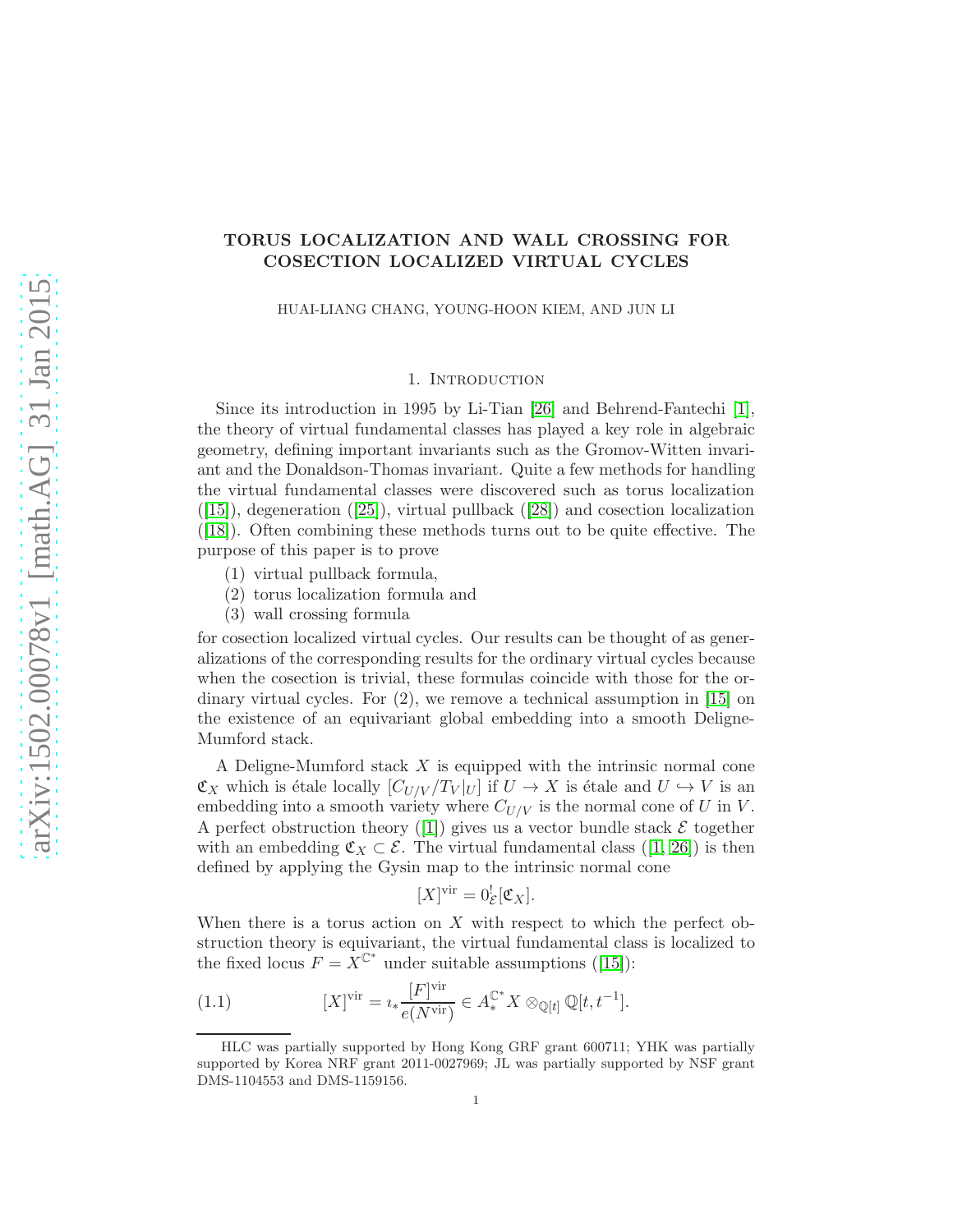# TORUS LOCALIZATION AND WALL CROSSING FOR COSECTION LOCALIZED VIRTUAL CYCLES

HUAI-LIANG CHANG, YOUNG-HOON KIEM, AND JUN LI

#### 1. Introduction

Since its introduction in 1995 by Li-Tian [\[26\]](#page-17-0) and Behrend-Fantechi [\[1\]](#page-16-0), the theory of virtual fundamental classes has played a key role in algebraic geometry, defining important invariants such as the Gromov-Witten invariant and the Donaldson-Thomas invariant. Quite a few methods for handling the virtual fundamental classes were discovered such as torus localization  $([15])$  $([15])$  $([15])$ ,degeneration  $([25])$  $([25])$  $([25])$ , virtual pullback  $([28])$  $([28])$  $([28])$  and cosection localization ([\[18\]](#page-17-4)). Often combining these methods turns out to be quite effective. The purpose of this paper is to prove

- (1) virtual pullback formula,
- (2) torus localization formula and
- (3) wall crossing formula

for cosection localized virtual cycles. Our results can be thought of as generalizations of the corresponding results for the ordinary virtual cycles because when the cosection is trivial, these formulas coincide with those for the ordinary virtual cycles. For (2), we remove a technical assumption in [\[15\]](#page-17-1) on the existence of an equivariant global embedding into a smooth Deligne-Mumford stack.

A Deligne-Mumford stack X is equipped with the intrinsic normal cone  $\mathfrak{C}_X$  which is étale locally  $[C_{U/V} / T_V |_U]$  if  $U \to X$  is étale and  $U \to V$  is an embedding into a smooth variety where  $C_{U/V}$  is the normal cone of U in V. Aperfect obstruction theory ([\[1\]](#page-16-0)) gives us a vector bundle stack  $\mathcal E$  together withan embedding  $\mathfrak{C}_X \subset \mathcal{E}$ . The virtual fundamental class ([\[1,](#page-16-0) [26\]](#page-17-0)) is then defined by applying the Gysin map to the intrinsic normal cone

$$
[X]^{vir} = 0_{\mathcal{E}}^{!}[\mathfrak{C}_X].
$$

When there is a torus action on X with respect to which the perfect obstruction theory is equivariant, the virtual fundamental class is localized to thefixed locus  $F = X^{\mathbb{C}^*}$  under suitable assumptions ([\[15\]](#page-17-1)):

(1.1) 
$$
[X]^\text{vir} = i_* \frac{[F]^\text{vir}}{e(N^\text{vir})} \in A_*^{\mathbb{C}^*} X \otimes_{\mathbb{Q}[t]} \mathbb{Q}[t, t^{-1}].
$$

HLC was partially supported by Hong Kong GRF grant 600711; YHK was partially supported by Korea NRF grant 2011-0027969; JL was partially supported by NSF grant DMS-1104553 and DMS-1159156.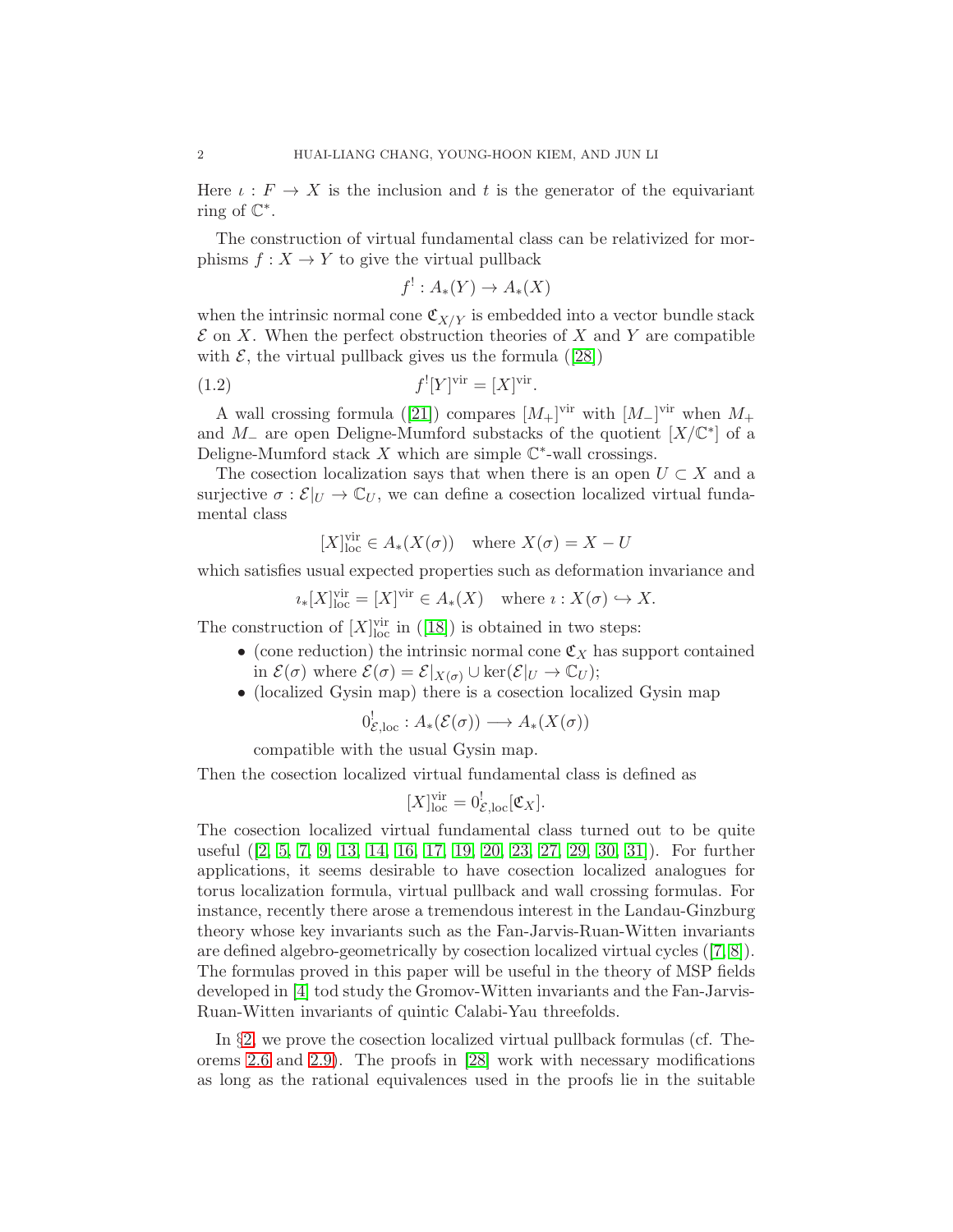Here  $\iota : F \to X$  is the inclusion and t is the generator of the equivariant ring of  $\mathbb{C}^*$ .

The construction of virtual fundamental class can be relativized for morphisms  $f: X \to Y$  to give the virtual pullback

$$
f^!: A_*(Y) \to A_*(X)
$$

when the intrinsic normal cone  $\mathfrak{C}_{X/Y}$  is embedded into a vector bundle stack  $\mathcal E$  on X. When the perfect obstruction theories of X and Y are compatible with $\mathcal{E}$ , the virtual pullback gives us the formula ([\[28\]](#page-17-3))

(1.2) 
$$
f^![Y]^{\text{vir}} = [X]^{\text{vir}}.
$$

Awall crossing formula ([\[21\]](#page-17-5)) compares  $[M_+]^{\text{vir}}$  with  $[M_-]^{\text{vir}}$  when  $M_+$ and  $M_-\,$  are open Deligne-Mumford substacks of the quotient  $[X/\mathbb{C}^*]$  of a Deligne-Mumford stack  $X$  which are simple  $\mathbb{C}^*$ -wall crossings.

The cosection localization says that when there is an open  $U \subset X$  and a surjective  $\sigma : \mathcal{E}|_U \to \mathbb{C}_U$ , we can define a cosection localized virtual fundamental class

$$
[X]_{\text{loc}}^{\text{vir}} \in A_*(X(\sigma)) \quad \text{where } X(\sigma) = X - U
$$

which satisfies usual expected properties such as deformation invariance and

$$
i_*[X]_{\text{loc}}^{\text{vir}} = [X]^{\text{vir}} \in A_*(X) \quad \text{where } i: X(\sigma) \hookrightarrow X.
$$

Theconstruction of  $[X]_{\text{loc}}^{\text{vir}}$  in ([\[18\]](#page-17-4)) is obtained in two steps:

- (cone reduction) the intrinsic normal cone  $\mathfrak{C}_X$  has support contained in  $\mathcal{E}(\sigma)$  where  $\mathcal{E}(\sigma) = \mathcal{E}|_{X(\sigma)} \cup \ker(\mathcal{E}|_U \to \mathbb{C}_U);$
- (localized Gysin map) there is a cosection localized Gysin map

$$
0^!_{\mathcal{E},\mathrm{loc}}: A_*(\mathcal{E}(\sigma)) \longrightarrow A_*(X(\sigma))
$$

compatible with the usual Gysin map.

Then the cosection localized virtual fundamental class is defined as

$$
[X]_{\text{loc}}^{\text{vir}} = 0^!_{\mathcal{E},\text{loc}}[\mathfrak{C}_X].
$$

The cosection localized virtual fundamental class turned out to be quite useful([\[2,](#page-16-1) [5,](#page-16-2) [7,](#page-16-3) [9,](#page-16-4) [13,](#page-17-6) [14,](#page-17-7) [16,](#page-17-8) [17,](#page-17-9) [19,](#page-17-10) [20,](#page-17-11) [23,](#page-17-12) [27,](#page-17-13) [29,](#page-17-14) [30,](#page-17-15) [31\]](#page-17-16)). For further applications, it seems desirable to have cosection localized analogues for torus localization formula, virtual pullback and wall crossing formulas. For instance, recently there arose a tremendous interest in the Landau-Ginzburg theory whose key invariants such as the Fan-Jarvis-Ruan-Witten invariants are defined algebro-geometrically by cosection localized virtual cycles([\[7,](#page-16-3) [8\]](#page-16-5)). The formulas proved in this paper will be useful in the theory of MSP fields developed in [\[4\]](#page-16-6) tod study the Gromov-Witten invariants and the Fan-Jarvis-Ruan-Witten invariants of quintic Calabi-Yau threefolds.

In §[2,](#page-2-0) we prove the cosection localized virtual pullback formulas (cf. Theorems [2.6](#page-6-0) and [2.9\)](#page-9-0). The proofs in [\[28\]](#page-17-3) work with necessary modifications as long as the rational equivalences used in the proofs lie in the suitable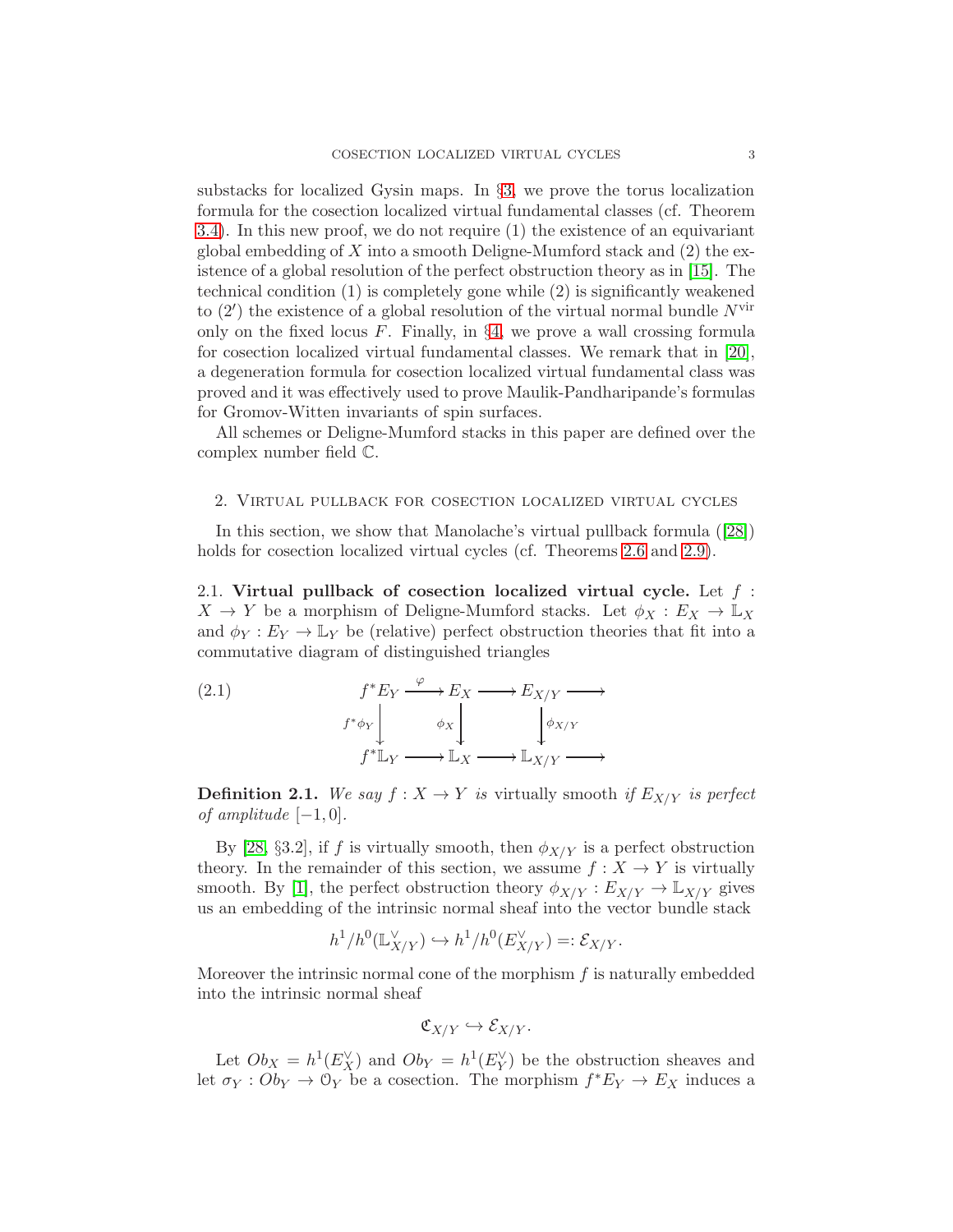substacks for localized Gysin maps. In §[3,](#page-11-0) we prove the torus localization formula for the cosection localized virtual fundamental classes (cf. Theorem [3.4\)](#page-13-0). In this new proof, we do not require (1) the existence of an equivariant global embedding of  $X$  into a smooth Deligne-Mumford stack and  $(2)$  the existence of a global resolution of the perfect obstruction theory as in [\[15\]](#page-17-1). The technical condition (1) is completely gone while (2) is significantly weakened to  $(2')$  the existence of a global resolution of the virtual normal bundle  $N^{\text{vir}}$ only on the fixed locus  $F$ . Finally, in §[4,](#page-15-0) we prove a wall crossing formula for cosection localized virtual fundamental classes. We remark that in [\[20\]](#page-17-11), a degeneration formula for cosection localized virtual fundamental class was proved and it was effectively used to prove Maulik-Pandharipande's formulas for Gromov-Witten invariants of spin surfaces.

All schemes or Deligne-Mumford stacks in this paper are defined over the complex number field C.

#### <span id="page-2-0"></span>2. Virtual pullback for cosection localized virtual cycles

In this section, we show that Manolache's virtual pullback formula([\[28\]](#page-17-3)) holds for cosection localized virtual cycles (cf. Theorems [2.6](#page-6-0) and [2.9\)](#page-9-0).

<span id="page-2-2"></span>2.1. Virtual pullback of cosection localized virtual cycle. Let  $f$ :  $X \to Y$  be a morphism of Deligne-Mumford stacks. Let  $\phi_X : E_X \to \mathbb{L}_X$ and  $\phi_Y : E_Y \to \mathbb{L}_Y$  be (relative) perfect obstruction theories that fit into a commutative diagram of distinguished triangles

<span id="page-2-1"></span>(2.1) 
$$
f^* E_Y \xrightarrow{\varphi} E_X \longrightarrow E_{X/Y} \longrightarrow
$$

$$
f^* \phi_Y \downarrow \qquad \phi_X \downarrow \qquad \qquad \downarrow \phi_{X/Y}
$$

$$
f^* \mathbb{L}_Y \longrightarrow \mathbb{L}_X \longrightarrow \mathbb{L}_{X/Y} \longrightarrow
$$

**Definition 2.1.** We say  $f : X \to Y$  is virtually smooth if  $E_{X/Y}$  is perfect of amplitude  $[-1, 0]$ .

By [\[28,](#page-17-3) §3.2], if f is virtually smooth, then  $\phi_{X/Y}$  is a perfect obstruction theory. In the remainder of this section, we assume  $f: X \to Y$  is virtually smooth. By [\[1\]](#page-16-0), the perfect obstruction theory  $\phi_{X/Y} : E_{X/Y} \to \mathbb{L}_{X/Y}$  gives us an embedding of the intrinsic normal sheaf into the vector bundle stack

$$
h^1/h^0(\mathbb{L}^\vee_{X/Y}) \hookrightarrow h^1/h^0(E^\vee_{X/Y}) =: \mathcal{E}_{X/Y}.
$$

Moreover the intrinsic normal cone of the morphism  $f$  is naturally embedded into the intrinsic normal sheaf

$$
\mathfrak{C}_{X/Y} \hookrightarrow \mathcal{E}_{X/Y}.
$$

Let  $Ob_X = h^1(E_X^{\vee})$  and  $Ob_Y = h^1(E_Y^{\vee})$  be the obstruction sheaves and let  $\sigma_Y : Ob_Y \to \mathcal{O}_Y$  be a cosection. The morphism  $f^*E_Y \to E_X$  induces a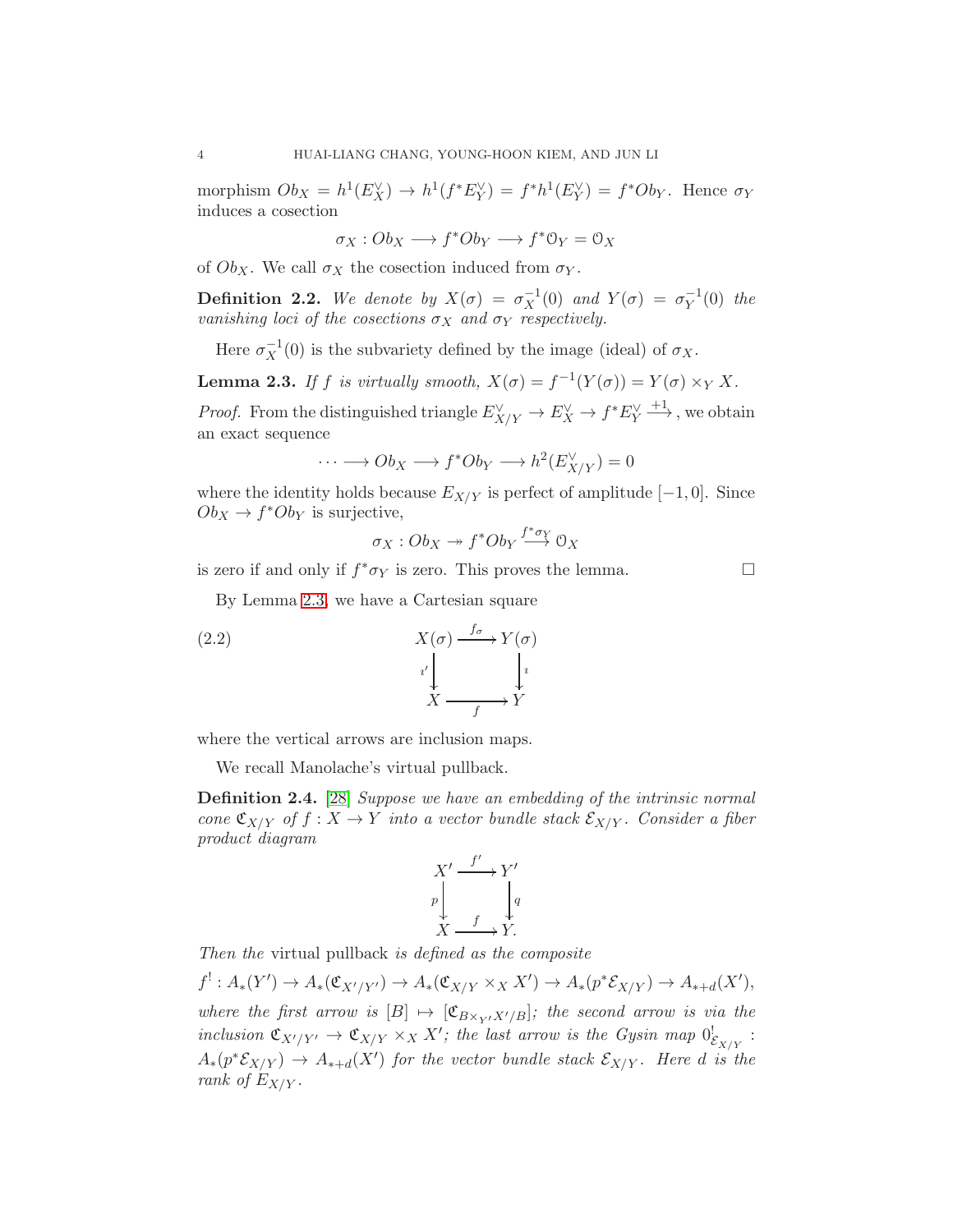morphism  $Ob_X = h^1(E_X^{\vee}) \to h^1(f^*E_Y^{\vee}) = f^*h^1(E_Y^{\vee}) = f^*Ob_Y$ . Hence  $\sigma_Y$ induces a cosection

 $\sigma_X : Ob_X \longrightarrow f^*Ob_Y \longrightarrow f^* \mathbb{O}_Y = \mathbb{O}_X$ 

of  $Ob_X$ . We call  $\sigma_X$  the cosection induced from  $\sigma_Y$ .

**Definition 2.2.** We denote by  $X(\sigma) = \sigma_X^{-1}$  $\overline{X}^1(0)$  and  $Y(\sigma) = \sigma_Y^{-1}$  $Y^{1}(0)$  the vanishing loci of the cosections  $\sigma_X$  and  $\sigma_Y$  respectively.

Here  $\sigma_X^{-1}$  $X<sup>-1</sup>(0)$  is the subvariety defined by the image (ideal) of  $\sigma_X$ .

<span id="page-3-0"></span>**Lemma 2.3.** If f is virtually smooth,  $X(\sigma) = f^{-1}(Y(\sigma)) = Y(\sigma) \times_Y X$ .

*Proof.* From the distinguished triangle  $E_{X/Y}^{\vee} \to E_X^{\vee} \to f^* E_Y^{\vee} \xrightarrow{+1}$ , we obtain an exact sequence

$$
\cdots \longrightarrow Ob_X \longrightarrow f^*Ob_Y \longrightarrow h^2(E_{X/Y}^{\vee}) = 0
$$

where the identity holds because  $E_{X/Y}$  is perfect of amplitude  $[-1, 0]$ . Since  $Ob_X \to f^*Ob_Y$  is surjective,

$$
\sigma_X:Ob_X \twoheadrightarrow f^*Ob_Y \stackrel{f^*\sigma_Y}{\longrightarrow} 0_X
$$

is zero if and only if  $f^*\sigma_Y$  is zero. This proves the lemma.

By Lemma [2.3,](#page-3-0) we have a Cartesian square

(2.2) 
$$
X(\sigma) \xrightarrow{f_{\sigma}} Y(\sigma)
$$

$$
i' \downarrow \qquad i' \downarrow \qquad i' \downarrow
$$

$$
X \xrightarrow{f} Y
$$

where the vertical arrows are inclusion maps.

We recall Manolache's virtual pullback.

<span id="page-3-1"></span>Definition 2.4. [\[28\]](#page-17-3) Suppose we have an embedding of the intrinsic normal cone  $\mathfrak{C}_{X/Y}$  of  $f: X \to Y$  into a vector bundle stack  $\mathcal{E}_{X/Y}$ . Consider a fiber product diagram

$$
X' \xrightarrow{f'} Y'
$$
  
\n
$$
p \downarrow q
$$
  
\n
$$
X \xrightarrow{f} Y.
$$

Then the virtual pullback is defined as the composite

 $f': A_*(Y') \to A_*(\mathfrak{C}_{X'/Y'}) \to A_*(\mathfrak{C}_{X/Y} \times_X X') \to A_*(p^*\mathcal{E}_{X/Y}) \to A_{*+d}(X'),$ where the first arrow is  $[B] \mapsto [\mathfrak{C}_{B \times_{V'} X'/B}]$ ; the second arrow is via the inclusion  $\mathfrak{C}_{X'/Y'} \to \mathfrak{C}_{X/Y} \times_X X'$ ; the last arrow is the Gysin map  $0^!_{\mathcal{E}_{X/Y}}$ :  $A_*(p^*\mathcal{E}_{X/Y}) \to A_{*+d}(X')$  for the vector bundle stack  $\mathcal{E}_{X/Y}$ . Here d is the rank of  $E_{X/Y}$ .

$$
\Box
$$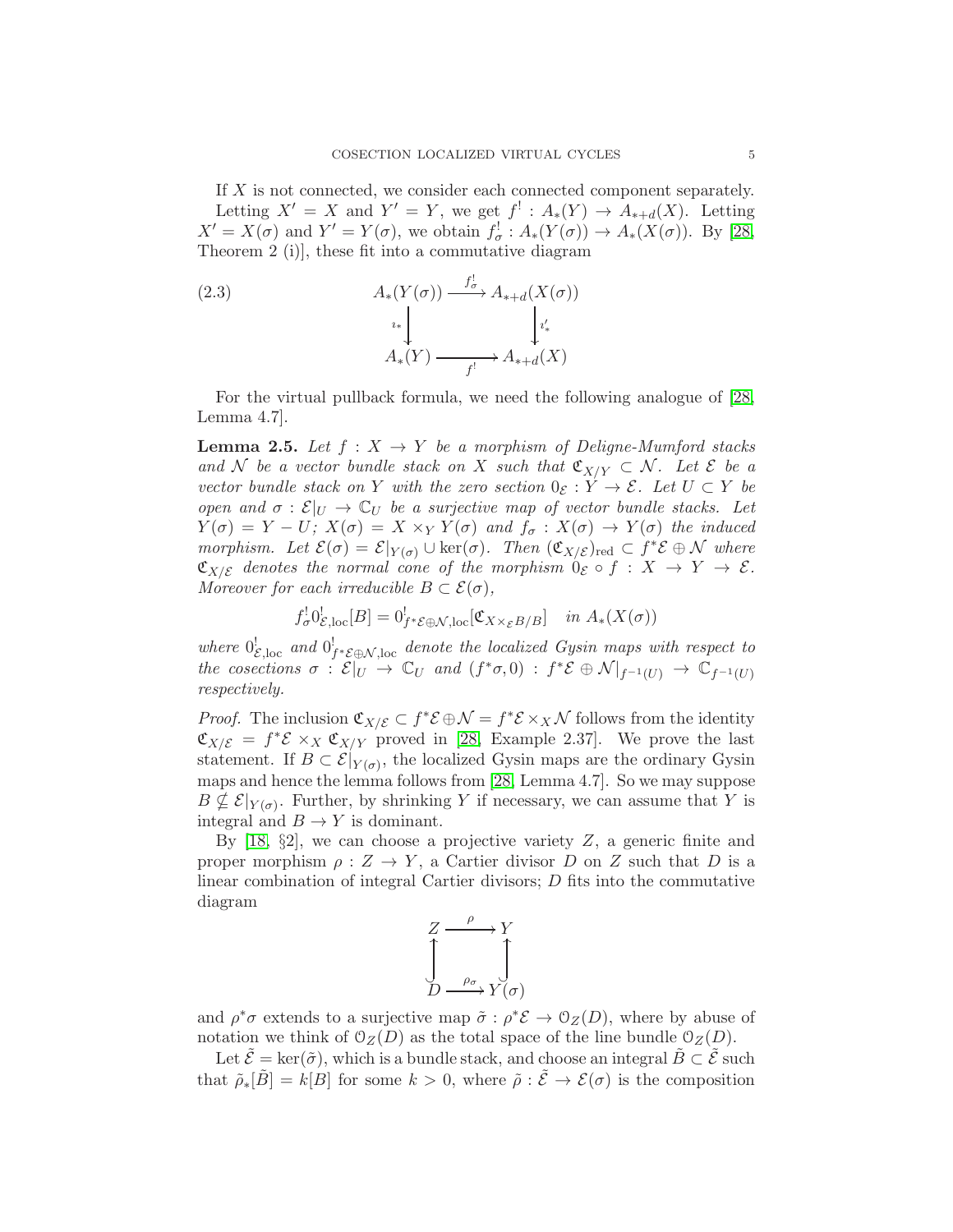If X is not connected, we consider each connected component separately. Letting  $X' = X$  and  $Y' = Y$ , we get  $f' : A_*(Y) \to A_{*+d}(X)$ . Letting  $X' = X(\sigma)$  and  $Y' = Y(\sigma)$ , we obtain  $f_{\sigma}^{\dagger} : A_*(Y(\sigma)) \to A_*(X(\sigma))$ . By [\[28,](#page-17-3) Theorem 2 (i)], these fit into a commutative diagram

(2.3)  
\n
$$
A_*(Y(\sigma)) \xrightarrow{f_{\sigma}^!} A_{*+d}(X(\sigma))
$$
\n
$$
A_*(Y) \xrightarrow{f_i^!} A_{*+d}(X)
$$

For the virtual pullback formula, we need the following analogue of [\[28,](#page-17-3) Lemma 4.7].

<span id="page-4-0"></span>**Lemma 2.5.** Let  $f: X \to Y$  be a morphism of Deligne-Mumford stacks and N be a vector bundle stack on X such that  $\mathfrak{C}_{X/Y} \subset \mathcal{N}$ . Let  $\mathcal{E}$  be a vector bundle stack on Y with the zero section  $0_{\mathcal{E}} : Y \to \mathcal{E}$ . Let  $U \subset Y$  be open and  $\sigma : \mathcal{E}|_U \to \mathbb{C}_U$  be a surjective map of vector bundle stacks. Let  $Y(\sigma) = Y - U; X(\sigma) = X \times_Y Y(\sigma)$  and  $f_{\sigma} : X(\sigma) \to Y(\sigma)$  the induced morphism. Let  $\mathcal{E}(\sigma) = \mathcal{E}|_{Y(\sigma)} \cup \text{ker}(\sigma)$ . Then  $(\mathfrak{C}_{X/\mathcal{E}})_{\text{red}} \subset f^* \mathcal{E} \oplus \mathcal{N}$  where  $\mathfrak{C}_{X/\mathcal{E}}$  denotes the normal cone of the morphism  $0_{\mathcal{E}} \circ f : X \to Y \to \mathcal{E}$ . Moreover for each irreducible  $B \subset \mathcal{E}(\sigma)$ ,

$$
f_{\sigma}^! 0^!_{\mathcal{E},loc}[B] = 0^!_{f^* \mathcal{E} \oplus \mathcal{N},loc}[\mathfrak{C}_{X \times_{\mathcal{E}} B/B}] \quad in \ A_*(X(\sigma))
$$

where  $0_{\mathcal{E},\text{loc}}^!$  and  $0_{f^*\mathcal{E}\oplus \mathcal{N},\text{loc}}^!$  denote the localized Gysin maps with respect to the cosections  $\sigma : \mathcal{E}|_U \to \mathbb{C}_U$  and  $(f^*\sigma, 0) : f^*\mathcal{E} \oplus \mathcal{N}|_{f^{-1}(U)} \to \mathbb{C}_{f^{-1}(U)}$ respectively.

*Proof.* The inclusion  $\mathfrak{C}_{X/\mathcal{E}} \subset f^*\mathcal{E} \oplus \mathcal{N} = f^*\mathcal{E} \times_X \mathcal{N}$  follows from the identity  $\mathfrak{C}_{X/\mathcal{E}} = f^* \mathcal{E} \times_X \mathfrak{C}_{X/Y}$  proved in [\[28,](#page-17-3) Example 2.37]. We prove the last statement. If  $B \subset \mathcal{E}|_{Y(\sigma)}$ , the localized Gysin maps are the ordinary Gysin maps and hence the lemma follows from [\[28,](#page-17-3) Lemma 4.7]. So we may suppose  $B \nsubseteq \mathcal{E}|_{Y(\sigma)}$ . Further, by shrinking Y if necessary, we can assume that Y is integral and  $B \to Y$  is dominant.

By  $[18, §2]$ , we can choose a projective variety Z, a generic finite and proper morphism  $\rho: Z \to Y$ , a Cartier divisor D on Z such that D is a linear combination of integral Cartier divisors; D fits into the commutative diagram

$$
\begin{array}{ccc}\nZ & \xrightarrow{\rho} & Y \\
\downarrow & & \downarrow \\
D & \xrightarrow{\rho_{\sigma}} & Y(\sigma)\n\end{array}
$$

and  $\rho^* \sigma$  extends to a surjective map  $\tilde{\sigma} : \rho^* \mathcal{E} \to \mathcal{O}_Z(D)$ , where by abuse of notation we think of  $\mathcal{O}_Z(D)$  as the total space of the line bundle  $\mathcal{O}_Z(D)$ .

Let  $\tilde{\mathcal{E}} = \ker(\tilde{\sigma})$ , which is a bundle stack, and choose an integral  $\tilde{B} \subset \tilde{\mathcal{E}}$  such that  $\tilde{\rho}_*[\tilde{B}] = k[B]$  for some  $k > 0$ , where  $\tilde{\rho} : \tilde{\mathcal{E}} \to \mathcal{E}(\sigma)$  is the composition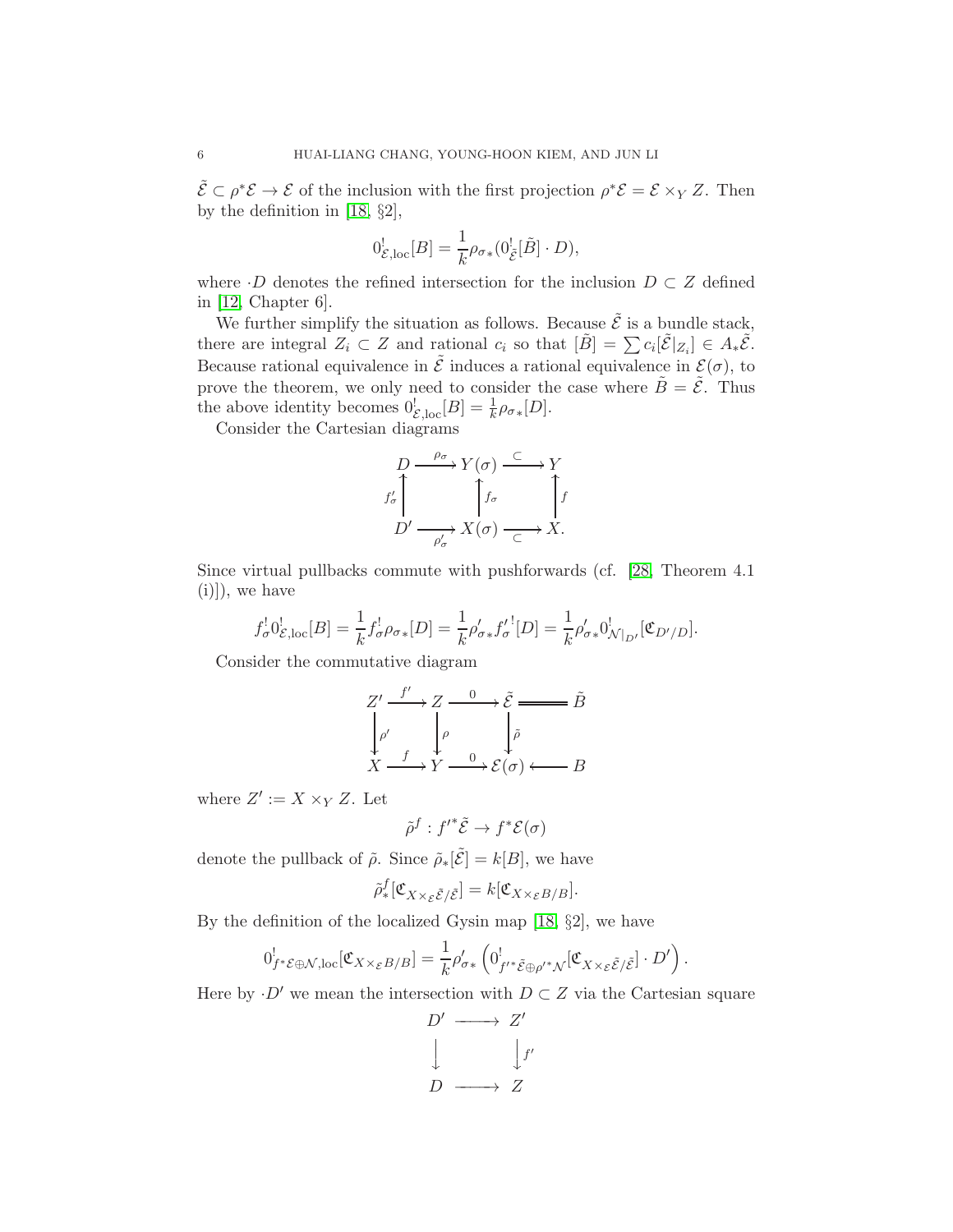$\tilde{\mathcal{E}} \subset \rho^* \mathcal{E} \to \mathcal{E}$  of the inclusion with the first projection  $\rho^* \mathcal{E} = \mathcal{E} \times_Y Z$ . Then by the definition in [\[18,](#page-17-4) §2],

$$
0_{\mathcal{E},\text{loc}}^! [B] = \frac{1}{k} \rho_{\sigma*} (0_{\tilde{\mathcal{E}}}^! [\tilde{B}] \cdot D),
$$

where  $\cdot D$  denotes the refined intersection for the inclusion  $D \subset Z$  defined in [\[12,](#page-17-17) Chapter 6].

We further simplify the situation as follows. Because  $\tilde{\mathcal{E}}$  is a bundle stack, there are integral  $Z_i \subset Z$  and rational  $c_i$  so that  $[\tilde{B}] = \sum c_i [\tilde{\mathcal{E}}|_{Z_i}] \in A_* \tilde{\mathcal{E}}$ . Because rational equivalence in  $\tilde{\mathcal{E}}$  induces a rational equivalence in  $\mathcal{E}(\sigma)$ , to prove the theorem, we only need to consider the case where  $\tilde{B} = \tilde{\mathcal{E}}$ . Thus the above identity becomes  $0_{\mathcal{E},\text{loc}}^! [B] = \frac{1}{k} \rho_{\sigma*}[D].$ 

Consider the Cartesian diagrams

$$
D \xrightarrow{\rho_{\sigma}} Y(\sigma) \xrightarrow{\subset} Y
$$
  

$$
f'_{\sigma}
$$
  

$$
D' \xrightarrow{\rho'_{\sigma}} X(\sigma) \xrightarrow{\subset} X.
$$

Since virtual pullbacks commute with pushforwards (cf. [\[28,](#page-17-3) Theorem 4.1  $(i)|$ , we have

$$
f_{\sigma}^! 0_{\mathcal{E},\text{loc}}^! [B] = \frac{1}{k} f_{\sigma}^! \rho_{\sigma *} [D] = \frac{1}{k} \rho_{\sigma *}^{\prime} f_{\sigma}^{\prime \,!} [D] = \frac{1}{k} \rho_{\sigma *}^{\prime} 0_{\mathcal{N}|_{D'}}^! [\mathfrak{C}_{D'/D}].
$$

Consider the commutative diagram

$$
Z' \xrightarrow{f'} Z \xrightarrow{0} \tilde{\mathcal{E}} \longrightarrow \tilde{B}
$$
  
\n
$$
\downarrow^{\rho'} \qquad \downarrow^{\rho} \qquad \downarrow^{\tilde{\rho}} \qquad \downarrow^{\tilde{\rho}}
$$
  
\n
$$
X \xrightarrow{f} Y \xrightarrow{0} \mathcal{E}(\sigma) \longleftarrow B
$$

where  $Z' := X \times_Y Z$ . Let

$$
\tilde{\rho}^f : f'^* \tilde{\mathcal{E}} \to f^* \mathcal{E}(\sigma)
$$

denote the pullback of  $\tilde{\rho}$ . Since  $\tilde{\rho}_*[\tilde{\mathcal{E}}] = k[B]$ , we have

$$
\tilde{\rho}^f_*[\mathfrak{C}_{X \times_{\mathcal{E}} \tilde{\mathcal{E}}/\tilde{\mathcal{E}}}] = k[\mathfrak{C}_{X \times_{\mathcal{E}} B/B}].
$$

By the definition of the localized Gysin map  $[18, §2]$ , we have

$$
0^!_{f^*\mathcal{E}\oplus\mathcal{N},\text{loc}}[\mathfrak{C}_{X\times_{\mathcal{E}}B/B}]=\frac{1}{k}\rho'_{\sigma*}\left(0^!_{f'^*\tilde{\mathcal{E}}\oplus\rho'^*\mathcal{N}}[\mathfrak{C}_{X\times_{\mathcal{E}}\tilde{\mathcal{E}}/\tilde{\mathcal{E}}}]\cdot D'\right).
$$

Here by  $\cdot D'$  we mean the intersection with  $D \subset Z$  via the Cartesian square

$$
D' \longrightarrow Z'
$$
  

$$
\downarrow \qquad \qquad \downarrow f'
$$
  

$$
D \longrightarrow Z
$$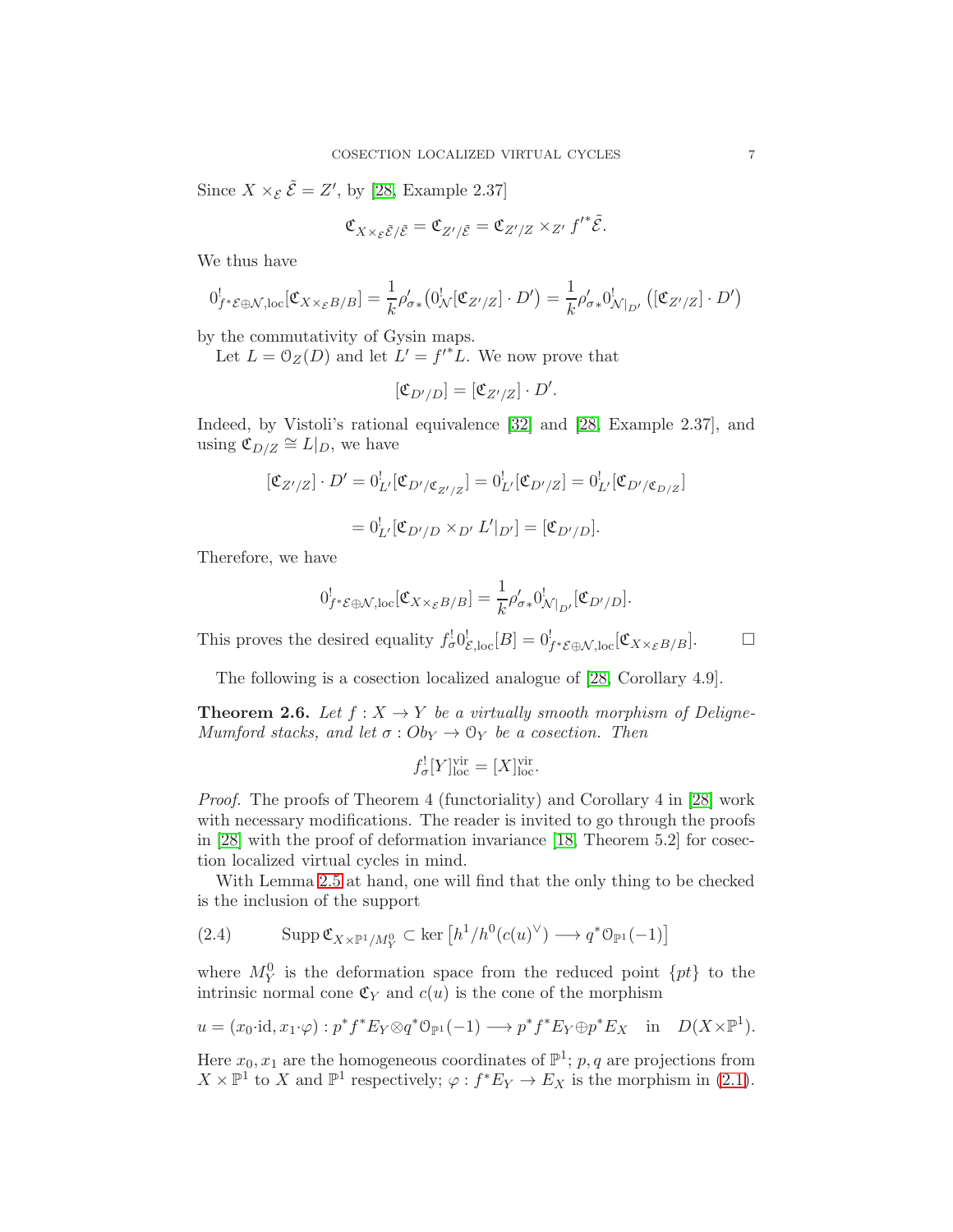Since  $X \times_{\mathcal{E}} \tilde{\mathcal{E}} = Z'$ , by [\[28,](#page-17-3) Example 2.37]

$$
\mathfrak{C}_{X\times_{\mathcal{E}}\tilde{\mathcal{E}}/\tilde{\mathcal{E}}}=\mathfrak{C}_{Z'/\tilde{\mathcal{E}}}=\mathfrak{C}_{Z'/Z}\times_{Z'} {f'}^*\tilde{\mathcal{E}}.
$$

We thus have

$$
0^!_{f^*\mathcal{E}\oplus\mathcal{N},\text{loc}}[\mathfrak{C}_{X\times_{\mathcal{E}}B/B}]=\frac{1}{k}\rho'_{\sigma*}\big(0^!_{\mathcal{N}}[\mathfrak{C}_{Z'/Z}]\cdot D'\big)=\frac{1}{k}\rho'_{\sigma*}0^!_{\mathcal{N}|_{D'}}\big([\mathfrak{C}_{Z'/Z}]\cdot D'\big)
$$

by the commutativity of Gysin maps.

Let  $L = \mathcal{O}_Z(D)$  and let  $L' = f'^*L$ . We now prove that

$$
[\mathfrak{C}_{D'/D}] = [\mathfrak{C}_{Z'/Z}] \cdot D'.
$$

Indeed, by Vistoli's rational equivalence [\[32\]](#page-17-18) and [\[28,](#page-17-3) Example 2.37], and using  $\mathfrak{C}_{D/Z} \cong L|_D$ , we have

$$
[\mathfrak{C}_{Z'/Z}] \cdot D' = 0_{L'}^! [\mathfrak{C}_{D'/\mathfrak{C}_{Z'/Z}}] = 0_{L'}^! [\mathfrak{C}_{D'/Z}] = 0_{L'}^! [\mathfrak{C}_{D'/\mathfrak{C}_{D/Z}}]
$$
  
= 
$$
0_{L'}^! [\mathfrak{C}_{D'/D} \times_{D'} L'|_{D'}] = [\mathfrak{C}_{D'/D}].
$$

Therefore, we have

$$
0^!_{f^*\mathcal{E}\oplus\mathcal{N},\mathrm{loc}}[\mathfrak{C}_{X\times_{\mathcal{E}}B/B}]=\frac{1}{k}\rho'_{\sigma*}0^!_{\mathcal{N}|_{D'}}[\mathfrak{C}_{D'/D}].
$$

This proves the desired equality  $f_{\sigma}^{\dagger} 0_{\mathcal{E},\text{loc}}^{\dagger}[B] = 0_{f^*\mathcal{E}\oplus\mathcal{N},\text{loc}}^{\dagger}[\mathfrak{C}_{X\times_{\mathcal{E}}B/B}].$ 

The following is a cosection localized analogue of [\[28,](#page-17-3) Corollary 4.9].

<span id="page-6-0"></span>**Theorem 2.6.** Let  $f : X \to Y$  be a virtually smooth morphism of Deligne-Mumford stacks, and let  $\sigma: Ob_Y \to \mathcal{O}_Y$  be a cosection. Then

$$
f_{\sigma}^![Y]^{\text{vir}}_{\text{loc}} = [X]^{\text{vir}}_{\text{loc}}.
$$

Proof. The proofs of Theorem 4 (functoriality) and Corollary 4 in [\[28\]](#page-17-3) work with necessary modifications. The reader is invited to go through the proofs in  $[28]$  with the proof of deformation invariance  $[18,$  Theorem 5.2 for cosection localized virtual cycles in mind.

With Lemma [2.5](#page-4-0) at hand, one will find that the only thing to be checked is the inclusion of the support

<span id="page-6-1"></span>(2.4) 
$$
\operatorname{Supp} \mathfrak{C}_{X \times \mathbb{P}^1 / M_Y^0} \subset \ker \left[ h^1 / h^0(c(u)^{\vee}) \longrightarrow q^* \mathfrak{O}_{\mathbb{P}^1}(-1) \right]
$$

where  $M_Y^0$  is the deformation space from the reduced point  $\{pt\}$  to the intrinsic normal cone  $\mathfrak{C}_Y$  and  $c(u)$  is the cone of the morphism

$$
u = (x_0 \cdot \mathrm{id}, x_1 \cdot \varphi) : p^* f^* E_Y \otimes q^* \mathbb{O}_{\mathbb{P}^1}(-1) \longrightarrow p^* f^* E_Y \oplus p^* E_X \quad \text{in} \quad D(X \times \mathbb{P}^1).
$$

Here  $x_0, x_1$  are the homogeneous coordinates of  $\mathbb{P}^1$ ; p, q are projections from  $X \times \mathbb{P}^1$  to X and  $\mathbb{P}^1$  respectively;  $\varphi : f^*E_Y \to E_X$  is the morphism in [\(2.1\)](#page-2-1).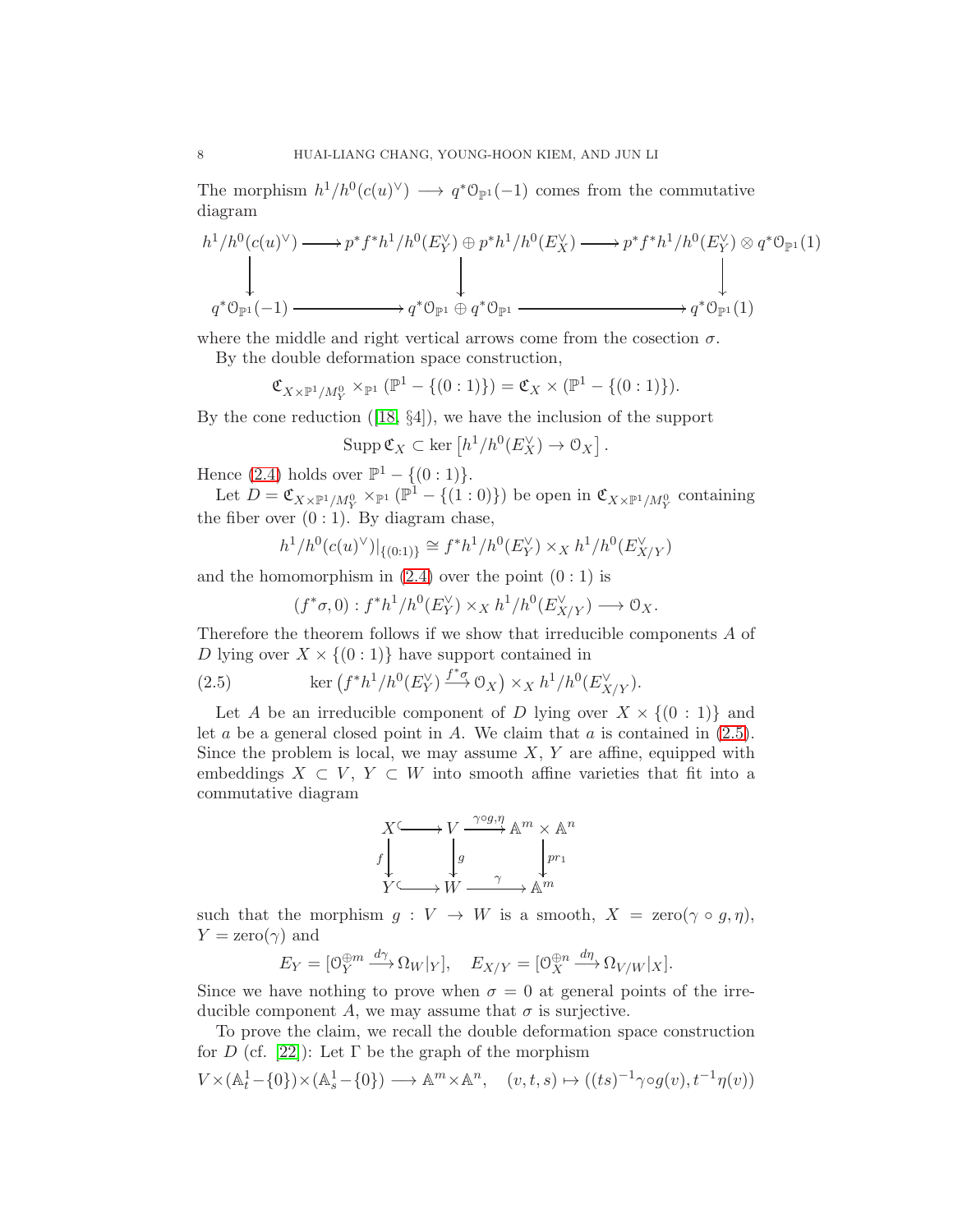The morphism  $h^1/h^0(c(u)^{\vee}) \longrightarrow q^*\mathcal{O}_{\mathbb{P}^1}(-1)$  comes from the commutative diagram

$$
h^1/h^0(c(u)^{\vee}) \longrightarrow p^*f^*h^1/h^0(E_Y^{\vee}) \oplus p^*h^1/h^0(E_X^{\vee}) \longrightarrow p^*f^*h^1/h^0(E_Y^{\vee}) \otimes q^*\mathcal{O}_{\mathbb{P}^1}(1)
$$
\n
$$
\downarrow
$$
\n
$$
q^*\mathcal{O}_{\mathbb{P}^1}(-1) \longrightarrow q^*\mathcal{O}_{\mathbb{P}^1} \oplus q^*\mathcal{O}_{\mathbb{P}^1}
$$

where the middle and right vertical arrows come from the cosection  $\sigma$ .

By the double deformation space construction,

 $\mathfrak{C}_{X \times \mathbb{P}^1 / M_Y^0} \times_{\mathbb{P}^1} (\mathbb{P}^1 - \{(0:1)\}) = \mathfrak{C}_X \times (\mathbb{P}^1 - \{(0:1)\}).$ 

By the cone reduction([\[18,](#page-17-4) §4]), we have the inclusion of the support

$$
\operatorname{Supp} \mathfrak{C}_X \subset \ker \left[ h^1/h^0(E_X^{\vee}) \to \mathfrak{O}_X \right].
$$

Hence [\(2.4\)](#page-6-1) holds over  $\mathbb{P}^1 - \{(0:1)\}.$ 

Let  $D = \mathfrak{C}_{X \times \mathbb{P}^1 / M_Y^0} \times_{\mathbb{P}^1} (\mathbb{P}^1 - \{(1:0)\})$  be open in  $\mathfrak{C}_{X \times \mathbb{P}^1 / M_Y^0}$  containing the fiber over  $(0:1)$ . By diagram chase,

$$
h^1/h^0(c(u)^{\vee})|_{\{(0:1)\}} \cong f^*h^1/h^0(E_Y^{\vee}) \times_X h^1/h^0(E_{X/Y}^{\vee})
$$

and the homomorphism in  $(2.4)$  over the point  $(0:1)$  is

<span id="page-7-0"></span>
$$
(f^*\sigma, 0) : f^*h^1/h^0(E_Y^{\vee}) \times_X h^1/h^0(E_{X/Y}^{\vee}) \longrightarrow \mathcal{O}_X.
$$

Therefore the theorem follows if we show that irreducible components A of D lying over  $X \times \{(0:1)\}\)$  have support contained in

(2.5) 
$$
\ker \left( f^* h^1 / h^0(E_Y^{\vee}) \xrightarrow{f^*\sigma} 0_X \right) \times_X h^1 / h^0(E_{X/Y}^{\vee}).
$$

Let A be an irreducible component of D lying over  $X \times \{(0:1)\}\)$  and let  $a$  be a general closed point in  $A$ . We claim that  $a$  is contained in  $(2.5)$ . Since the problem is local, we may assume  $X, Y$  are affine, equipped with embeddings  $X \subset V$ ,  $Y \subset W$  into smooth affine varieties that fit into a commutative diagram

$$
\begin{array}{ccc}\nX^{\zeta} & \longrightarrow V & \xrightarrow{\gamma \circ g, \eta} \mathbb{A}^m \times \mathbb{A}^n \\
f & g & \downarrow pr_1 \\
Y^{\zeta} & \longrightarrow W & \xrightarrow{\gamma} \mathbb{A}^m\n\end{array}
$$

such that the morphism  $g: V \to W$  is a smooth,  $X = \text{zero}(\gamma \circ g, \eta)$ ,  $Y = \text{zero}(\gamma)$  and

$$
E_Y = [\mathcal{O}_Y^{\oplus m} \xrightarrow{d\gamma} \Omega_W|_Y], \quad E_{X/Y} = [\mathcal{O}_X^{\oplus n} \xrightarrow{d\eta} \Omega_{V/W}|_X].
$$

Since we have nothing to prove when  $\sigma = 0$  at general points of the irreducible component A, we may assume that  $\sigma$  is surjective.

To prove the claim, we recall the double deformation space construction for D (cf. [\[22\]](#page-17-19)): Let  $\Gamma$  be the graph of the morphism

$$
V \times (\mathbb{A}_t^1 - \{0\}) \times (\mathbb{A}_s^1 - \{0\}) \longrightarrow \mathbb{A}^m \times \mathbb{A}^n, \quad (v, t, s) \mapsto ((ts)^{-1} \gamma \circ g(v), t^{-1} \eta(v))
$$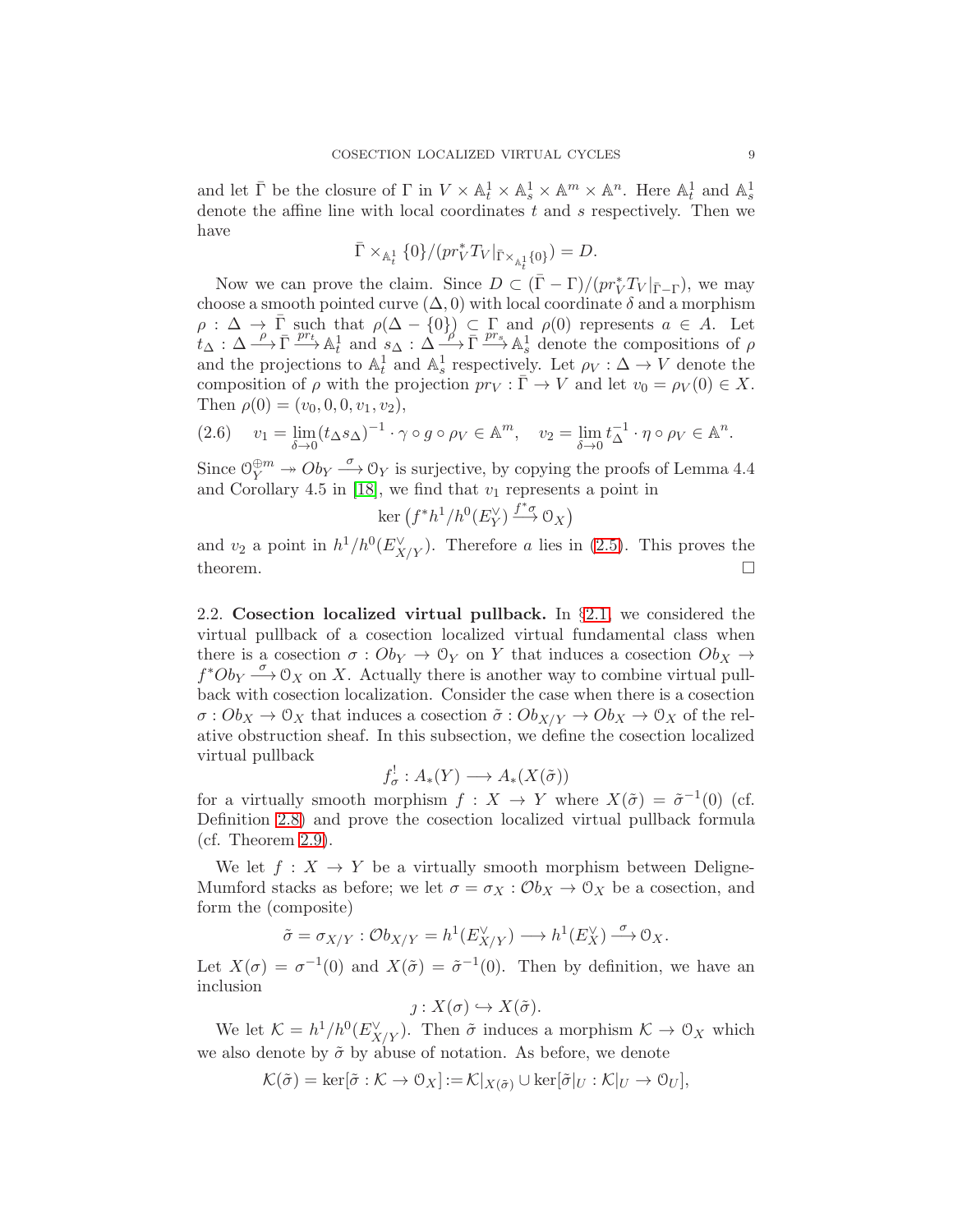and let  $\bar{\Gamma}$  be the closure of  $\Gamma$  in  $V \times \mathbb{A}^1_t \times \mathbb{A}^1_s \times \mathbb{A}^m \times \mathbb{A}^n$ . Here  $\mathbb{A}^1_t$  and  $\mathbb{A}^1_s$ denote the affine line with local coordinates  $t$  and  $s$  respectively. Then we have

$$
\bar{\Gamma}\times_{\mathbb{A}^1_t} \{0\}/(pr_V^* T_V|_{\bar{\Gamma}\times_{\mathbb{A}^1_t} \{0\}})=D.
$$

Now we can prove the claim. Since  $D \subset (\bar{\Gamma} - \Gamma)/(pr_V^* T_V|_{\bar{\Gamma} - \Gamma})$ , we may choose a smooth pointed curve  $(\Delta, 0)$  with local coordinate  $\delta$  and a morphism  $\rho : \Delta \to \overline{\Gamma}$  such that  $\rho(\Delta - \{0\}) \subset \Gamma$  and  $\rho(0)$  represents  $a \in A$ . Let  $t_{\Delta} : \Delta \longrightarrow \overline{\Gamma} \longrightarrow^{\text{pr}_t} \mathbb{A}^1_t$  and  $s_{\Delta} : \Delta \longrightarrow^{\text{pr}_s} \overline{\Gamma} \longrightarrow^{\text{pr}_s} \mathbb{A}^1_s$  denote the compositions of  $\rho$ and the projections to  $\mathbb{A}_t^1$  and  $\mathbb{A}_s^1$  respectively. Let  $\rho_V : \Delta \to V$  denote the composition of  $\rho$  with the projection  $pr_V : \overline{\Gamma} \to V$  and let  $v_0 = \rho_V(0) \in X$ . Then  $\rho(0) = (v_0, 0, 0, v_1, v_2),$ 

$$
(2.6) \t v_1 = \lim_{\delta \to 0} (t_{\Delta} s_{\Delta})^{-1} \cdot \gamma \circ g \circ \rho_V \in \mathbb{A}^m, \t v_2 = \lim_{\delta \to 0} t_{\Delta}^{-1} \cdot \eta \circ \rho_V \in \mathbb{A}^n.
$$

Since  $\mathcal{O}_Y^{\oplus m} \to \mathcal{O}_{Y} \to \mathcal{O}_{Y}$  is surjective, by copying the proofs of Lemma 4.4 and Corollary 4.5 in [\[18\]](#page-17-4), we find that  $v_1$  represents a point in

$$
\ker (f^*h^1/h^0(E_Y^{\vee}) \xrightarrow{f^*\sigma} \mathcal{O}_X)
$$

and  $v_2$  a point in  $h^1/h^0(E_{X/Y}^{\vee})$ . Therefore a lies in [\(2.5\)](#page-7-0). This proves the theorem.  $\Box$ 

2.2. Cosection localized virtual pullback. In §[2.1,](#page-2-2) we considered the virtual pullback of a cosection localized virtual fundamental class when there is a cosection  $\sigma : Ob_Y \to \mathcal{O}_Y$  on Y that induces a cosection  $Ob_X \to$  $f^*Ob_Y \stackrel{\sigma}{\longrightarrow} \mathcal{O}_X$  on X. Actually there is another way to combine virtual pullback with cosection localization. Consider the case when there is a cosection  $\sigma: Ob_X \to \mathcal{O}_X$  that induces a cosection  $\tilde{\sigma}: Ob_{X/Y} \to Ob_X \to \mathcal{O}_X$  of the relative obstruction sheaf. In this subsection, we define the cosection localized virtual pullback

$$
f_{\sigma}^!: A_*(Y) \longrightarrow A_*(X(\tilde{\sigma}))
$$

for a virtually smooth morphism  $f: X \to Y$  where  $X(\tilde{\sigma}) = \tilde{\sigma}^{-1}(0)$  (cf. Definition [2.8\)](#page-9-1) and prove the cosection localized virtual pullback formula (cf. Theorem [2.9\)](#page-9-0).

We let  $f: X \to Y$  be a virtually smooth morphism between Deligne-Mumford stacks as before; we let  $\sigma = \sigma_X : \mathcal{O}_{X} \to \mathcal{O}_X$  be a cosection, and form the (composite)

$$
\tilde{\sigma} = \sigma_{X/Y} : \mathcal{O}b_{X/Y} = h^1(E_{X/Y}^{\vee}) \longrightarrow h^1(E_X^{\vee}) \xrightarrow{\sigma} \mathcal{O}_X.
$$

Let  $X(\sigma) = \sigma^{-1}(0)$  and  $X(\tilde{\sigma}) = \tilde{\sigma}^{-1}(0)$ . Then by definition, we have an inclusion

$$
\jmath: X(\sigma) \hookrightarrow X(\tilde{\sigma}).
$$

We let  $\mathcal{K} = h^1/h^0(E_{X/Y}^{\vee})$ . Then  $\tilde{\sigma}$  induces a morphism  $\mathcal{K} \to \mathcal{O}_X$  which we also denote by  $\tilde{\sigma}$  by abuse of notation. As before, we denote

$$
\mathcal{K}(\tilde{\sigma}) = \ker[\tilde{\sigma} : \mathcal{K} \to \mathcal{O}_X] := \mathcal{K}|_{X(\tilde{\sigma})} \cup \ker[\tilde{\sigma}|_U : \mathcal{K}|_U \to \mathcal{O}_U],
$$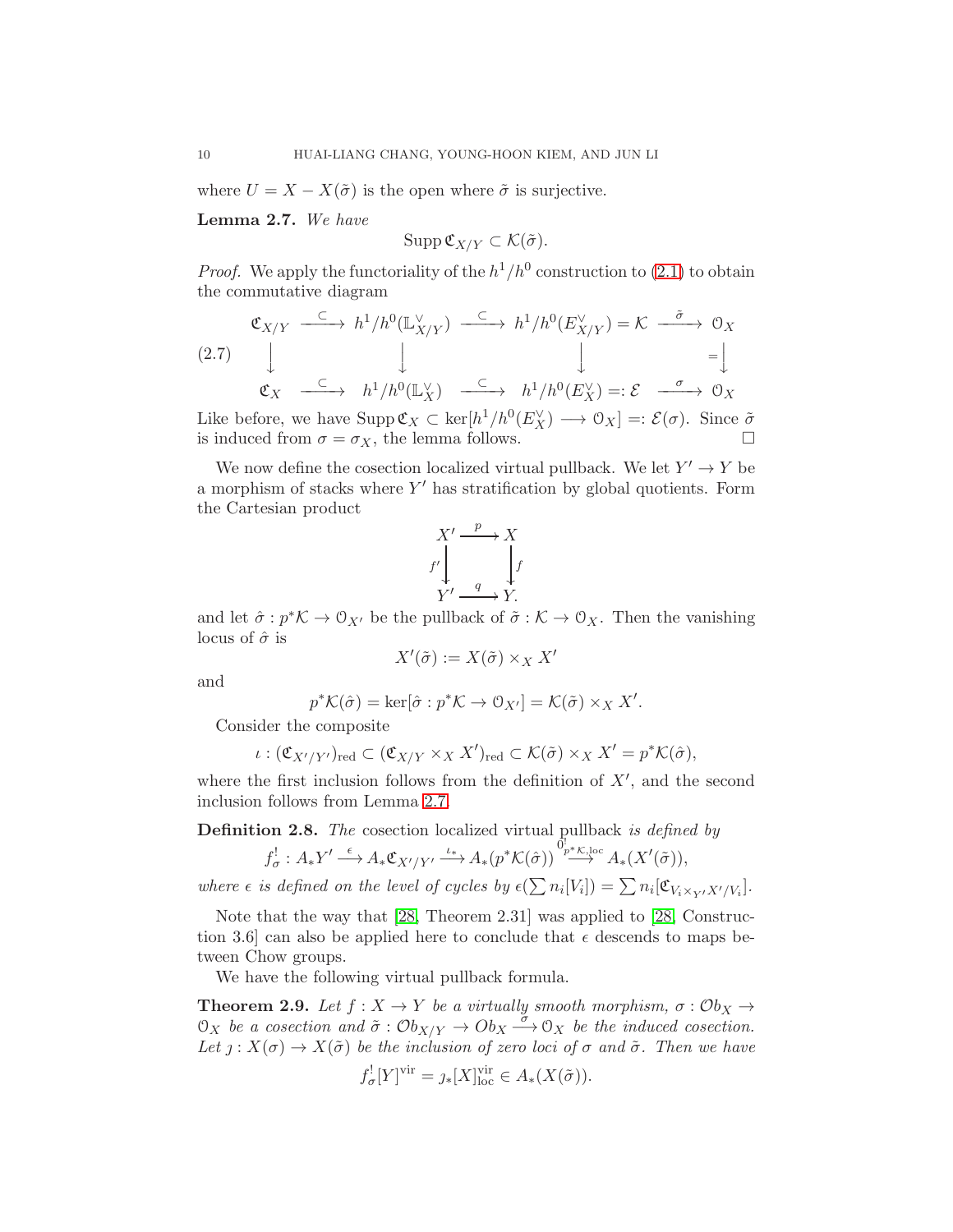where  $U = X - X(\tilde{\sigma})$  is the open where  $\tilde{\sigma}$  is surjective.

<span id="page-9-2"></span>Lemma 2.7. We have

$$
\operatorname{Supp} \mathfrak{C}_{X/Y} \subset \mathcal{K}(\tilde{\sigma}).
$$

*Proof.* We apply the functoriality of the  $h^1/h^0$  construction to [\(2.1\)](#page-2-1) to obtain the commutative diagram

$$
\begin{array}{ccccccccc}\n\mathfrak{C}_{X/Y} & \xrightarrow{\subset} & h^1/h^0(\mathbb{L}_{X/Y}^{\vee}) & \xrightarrow{\subset} & h^1/h^0(E_{X/Y}^{\vee}) = \mathcal{K} & \xrightarrow{\tilde{\sigma}} & \mathfrak{O}_X \\
& & & & & & & \\
\mathfrak{C}_X & \xrightarrow{\subset} & & & & & h^1/h^0(\mathbb{L}_X^{\vee}) & \xrightarrow{\subset} & & & & h^1/h^0(E_X^{\vee}) =: \mathcal{E} & \xrightarrow{\sigma} & \mathfrak{O}_X \\
\end{array}
$$

Like before, we have  $\text{Supp}\,\mathfrak{C}_X \subset \text{ker}[h^1/h^0(E_X^{\vee}) \longrightarrow \mathfrak{O}_X] =: \mathcal{E}(\sigma)$ . Since  $\tilde{\sigma}$ is induced from  $\sigma = \sigma_X$ , the lemma follows.

We now define the cosection localized virtual pullback. We let  $Y' \to Y$  be a morphism of stacks where  $Y'$  has stratification by global quotients. Form the Cartesian product

$$
X' \xrightarrow{p} X
$$
  

$$
f' \downarrow \qquad f
$$
  

$$
Y' \xrightarrow{q} Y.
$$

and let  $\hat{\sigma}: p^*\mathcal{K} \to \mathcal{O}_{X'}$  be the pullback of  $\tilde{\sigma}: \mathcal{K} \to \mathcal{O}_X$ . Then the vanishing locus of  $\hat{\sigma}$  is

$$
X'(\tilde{\sigma}) := X(\tilde{\sigma}) \times_X X
$$

and

$$
p^{\ast} \mathcal{K}(\hat{\sigma}) = \ker[\hat{\sigma} : p^{\ast} \mathcal{K} \to \mathcal{O}_{X'}] = \mathcal{K}(\tilde{\sigma}) \times_X X'.
$$

Consider the composite

$$
\iota: (\mathfrak{C}_{X'/Y'})_{\text{red}} \subset (\mathfrak{C}_{X/Y} \times_X X')_{\text{red}} \subset \mathcal{K}(\tilde{\sigma}) \times_X X' = p^* \mathcal{K}(\hat{\sigma}),
$$

where the first inclusion follows from the definition of  $X'$ , and the second inclusion follows from Lemma [2.7.](#page-9-2)

<span id="page-9-1"></span>**Definition 2.8.** The cosection localized virtual pullback is defined by

$$
f_{\sigma}^! : A_*Y' \longrightarrow A_*\mathfrak{C}_{X'/Y'} \longrightarrow^{\iota_*} A_*(p^*\mathcal{K}(\hat{\sigma})) \longrightarrow^{\mathfrak{G}_{p^*\mathcal{K},\mathrm{loc}}^{\mathfrak{g}}} A_*(X'(\tilde{\sigma})),
$$

where  $\epsilon$  is defined on the level of cycles by  $\epsilon(\sum n_i[V_i]) = \sum n_i[\mathfrak{C}_{V_i \times_{Y'} X'/V_i}].$ 

Note that the way that [\[28,](#page-17-3) Theorem 2.31] was applied to [\[28,](#page-17-3) Construction 3.6] can also be applied here to conclude that  $\epsilon$  descends to maps between Chow groups.

We have the following virtual pullback formula.

<span id="page-9-0"></span>**Theorem 2.9.** Let  $f : X \to Y$  be a virtually smooth morphism,  $\sigma : \mathcal{O}b_X \to$  $\mathfrak{O}_X$  be a cosection and  $\tilde{\sigma}: \mathcal{O}_{X/Y} \to \mathcal{O}_{X} \xrightarrow{\sigma} \mathcal{O}_X$  be the induced cosection. Let  $j: X(\sigma) \to X(\tilde{\sigma})$  be the inclusion of zero loci of  $\sigma$  and  $\tilde{\sigma}$ . Then we have

$$
f_{\sigma}^![Y]^{\text{vir}} = \jmath_*[X]^{\text{vir}}_{\text{loc}} \in A_*(X(\tilde{\sigma})).
$$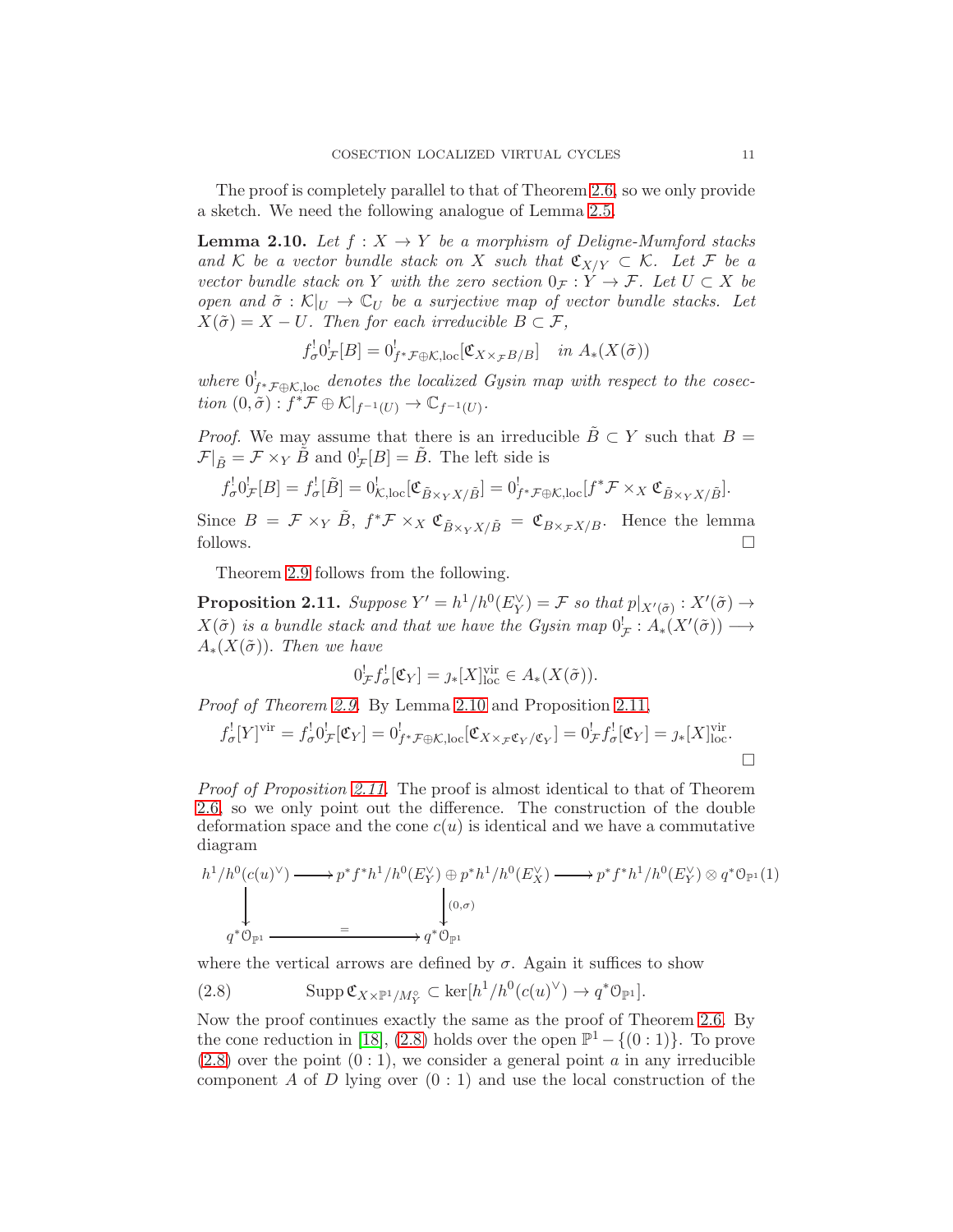The proof is completely parallel to that of Theorem [2.6,](#page-6-0) so we only provide a sketch. We need the following analogue of Lemma [2.5.](#page-4-0)

<span id="page-10-0"></span>**Lemma 2.10.** Let  $f: X \rightarrow Y$  be a morphism of Deliane-Mumford stacks and K be a vector bundle stack on X such that  $\mathfrak{C}_{X/Y} \subset \mathcal{K}$ . Let F be a vector bundle stack on Y with the zero section  $0_{\mathcal{F}} : Y \to \mathcal{F}$ . Let  $U \subset X$  be open and  $\tilde{\sigma} : \mathcal{K}|_U \to \mathbb{C}_U$  be a surjective map of vector bundle stacks. Let  $X(\tilde{\sigma}) = X - U$ . Then for each irreducible  $B \subset \mathcal{F}$ ,

$$
f_{\sigma}^! 0_{\mathcal{F}}^! [B] = 0_{f^* \mathcal{F} \oplus \mathcal{K}, \text{loc}}^! [\mathfrak{C}_{X \times_{\mathcal{F}} B/B}] \quad \text{in } A_*(X(\tilde{\sigma}))
$$

where  $0^!_{f^*\mathcal{F}\oplus\mathcal{K},\text{loc}}$  denotes the localized Gysin map with respect to the cosection  $(0, \tilde{\sigma}) : f^* \mathcal{F} \oplus \mathcal{K} |_{f^{-1}(U)} \to \mathbb{C}_{f^{-1}(U)}$ .

*Proof.* We may assume that there is an irreducible  $\tilde{B} \subset Y$  such that  $B =$  $\mathcal{F}|_{\tilde{B}} = \mathcal{F} \times_Y \tilde{B}$  and  $0^!_{\mathcal{F}}[B] = \tilde{B}$ . The left side is

$$
f_{\sigma}^![0]_{\mathcal{F}}^![B] = f_{\sigma}^![\tilde{B}] = 0_{\mathcal{K},\text{loc}}^![\mathfrak{C}_{\tilde{B}\times_YX/\tilde{B}}] = 0_{f^*\mathcal{F}\oplus\mathcal{K},\text{loc}}^![f^*\mathcal{F}\times_X\mathfrak{C}_{\tilde{B}\times_YX/\tilde{B}}].
$$

Since  $B = \mathcal{F} \times_Y \tilde{B}$ ,  $f^* \mathcal{F} \times_X \mathfrak{C}_{\tilde{B} \times_Y X / \tilde{B}} = \mathfrak{C}_{B \times_{\mathcal{F}} X / B}$ . Hence the lemma follows.  $\square$ 

Theorem [2.9](#page-9-0) follows from the following.

<span id="page-10-1"></span>**Proposition 2.11.** Suppose  $Y' = h^1/h^0(E_Y^{\vee}) = \mathcal{F}$  so that  $p|_{X'(\tilde{\sigma})}: X'(\tilde{\sigma}) \to$  $X(\tilde{\sigma})$  is a bundle stack and that we have the Gysin map  $0^!_{\mathcal{F}}: A_*(X'(\tilde{\sigma})) \longrightarrow$  $A_*(X(\tilde{\sigma}))$ . Then we have

$$
0^!_{\mathcal{F}} f^!_{\sigma}[\mathfrak{C}_Y] = \jmath_*[X]^{\text{vir}}_{\text{loc}} \in A_*(X(\tilde{\sigma})).
$$

Proof of Theorem [2.9.](#page-9-0) By Lemma [2.10](#page-10-0) and Proposition [2.11,](#page-10-1)

$$
f_{\sigma}^![Y]^{\text{vir}} = f_{\sigma}^![0_{\mathcal{F}}^![\mathfrak{C}_Y] = 0_{f^*\mathcal{F}\oplus\mathcal{K},\text{loc}}^![\mathfrak{C}_{X\times_{\mathcal{F}}\mathfrak{C}_Y/\mathfrak{C}_Y}] = 0_{\mathcal{F}}^!f_{\sigma}^![\mathfrak{C}_Y] = \jmath_*[X]^{\text{vir}}_{\text{loc}}.
$$

Proof of Proposition [2.11.](#page-10-1) The proof is almost identical to that of Theorem [2.6,](#page-6-0) so we only point out the difference. The construction of the double deformation space and the cone  $c(u)$  is identical and we have a commutative diagram

$$
h^1/h^0(c(u)^{\vee}) \longrightarrow p^*f^*h^1/h^0(E_Y^{\vee}) \oplus p^*h^1/h^0(E_X^{\vee}) \longrightarrow p^*f^*h^1/h^0(E_Y^{\vee}) \otimes q^*O_{\mathbb{P}^1}(1)
$$
  
\n
$$
\downarrow \qquad \qquad \downarrow (0,\sigma)
$$
  
\n
$$
q^*O_{\mathbb{P}^1} \longrightarrow q^*O_{\mathbb{P}^1}
$$

where the vertical arrows are defined by  $\sigma$ . Again it suffices to show

<span id="page-10-2"></span>(2.8) 
$$
\mathrm{Supp}\,\mathfrak{C}_{X\times\mathbb{P}^1/M_Y^{\circ}}\subset\mathrm{ker}[h^1/h^0(c(u)^{\vee})\to q^*\mathfrak{O}_{\mathbb{P}^1}].
$$

Now the proof continues exactly the same as the proof of Theorem [2.6.](#page-6-0) By the cone reduction in [\[18\]](#page-17-4), [\(2.8\)](#page-10-2) holds over the open  $\mathbb{P}^1 - \{(0:1)\}\.$  To prove  $(2.8)$  over the point  $(0:1)$ , we consider a general point a in any irreducible component A of D lying over  $(0:1)$  and use the local construction of the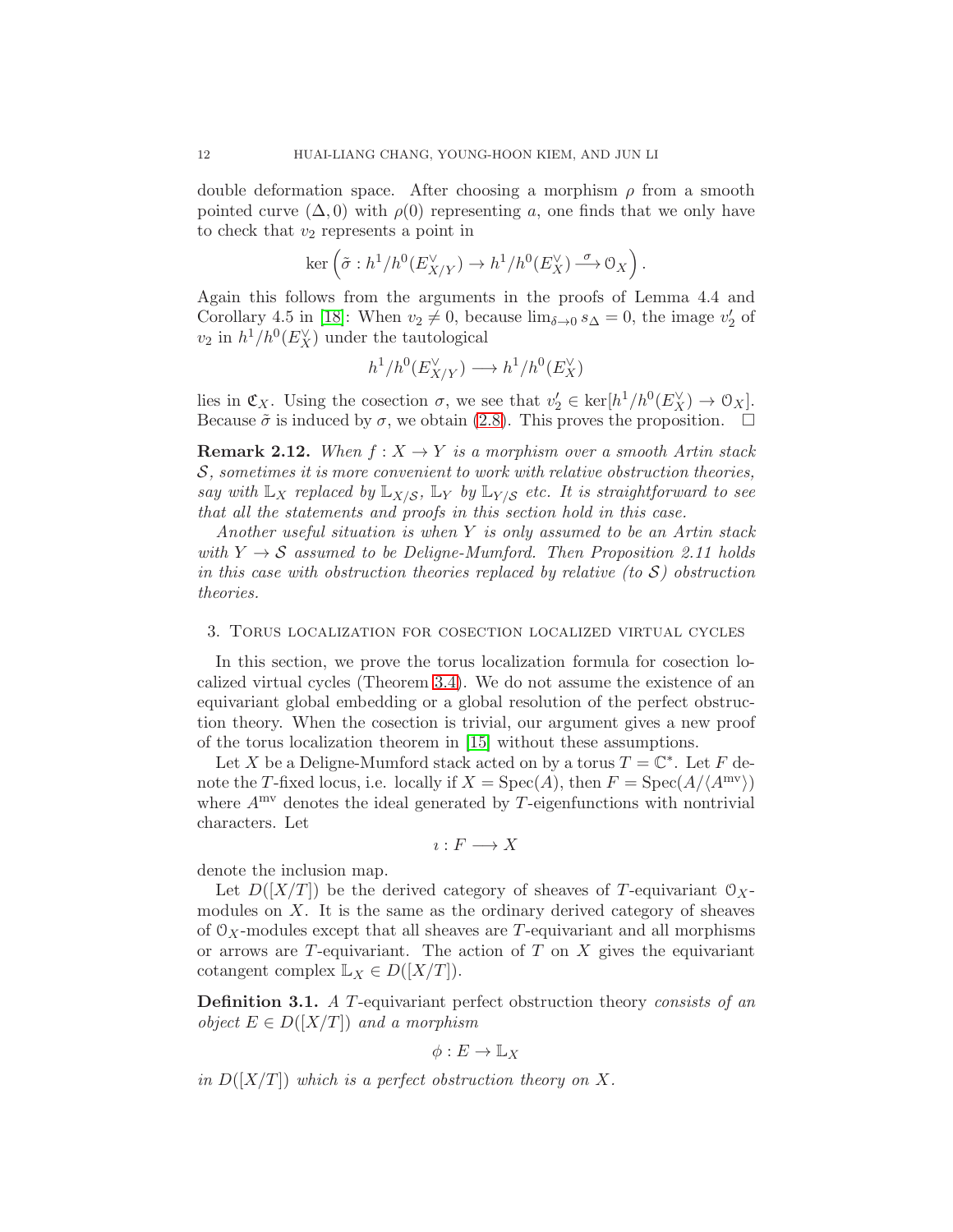double deformation space. After choosing a morphism  $\rho$  from a smooth pointed curve  $(\Delta, 0)$  with  $\rho(0)$  representing a, one finds that we only have to check that  $v_2$  represents a point in

$$
\ker\left(\tilde{\sigma}: h^1/h^0(E_{X/Y}^{\vee})\to h^1/h^0(E_X^{\vee}) \xrightarrow{\sigma} \mathcal{O}_X\right).
$$

Again this follows from the arguments in the proofs of Lemma 4.4 and Corollary 4.5 in [\[18\]](#page-17-4): When  $v_2 \neq 0$ , because  $\lim_{\delta \to 0} s_\Delta = 0$ , the image  $v_2'$  of  $v_2$  in  $h^1/h^0(E_X^{\vee})$  under the tautological

$$
h^1/h^0(E_{X/Y}^{\vee}) \longrightarrow h^1/h^0(E_X^{\vee})
$$

lies in  $\mathfrak{C}_X$ . Using the cosection  $\sigma$ , we see that  $v'_2 \in \text{ker}[h^1/h^0(E_X^{\vee}) \to 0_X]$ . Because  $\tilde{\sigma}$  is induced by  $\sigma$ , we obtain [\(2.8\)](#page-10-2). This proves the proposition.  $\Box$ 

**Remark 2.12.** When  $f: X \to Y$  is a morphism over a smooth Artin stack S, sometimes it is more convenient to work with relative obstruction theories, say with  $\mathbb{L}_X$  replaced by  $\mathbb{L}_{X/S}$ ,  $\mathbb{L}_Y$  by  $\mathbb{L}_{Y/S}$  etc. It is straightforward to see that all the statements and proofs in this section hold in this case.

Another useful situation is when Y is only assumed to be an Artin stack with  $Y \rightarrow S$  assumed to be Deligne-Mumford. Then Proposition 2.11 holds in this case with obstruction theories replaced by relative (to  $S$ ) obstruction theories.

### <span id="page-11-0"></span>3. Torus localization for cosection localized virtual cycles

In this section, we prove the torus localization formula for cosection localized virtual cycles (Theorem [3.4\)](#page-13-0). We do not assume the existence of an equivariant global embedding or a global resolution of the perfect obstruction theory. When the cosection is trivial, our argument gives a new proof of the torus localization theorem in [\[15\]](#page-17-1) without these assumptions.

Let X be a Deligne-Mumford stack acted on by a torus  $T = \mathbb{C}^*$ . Let F denote the T-fixed locus, i.e. locally if  $X = \text{Spec}(A)$ , then  $F = \text{Spec}(A/\langle A^{mv} \rangle)$ where  $A<sup>mv</sup>$  denotes the ideal generated by T-eigenfunctions with nontrivial characters. Let

$$
\imath: F \longrightarrow X
$$

denote the inclusion map.

Let  $D([X/T])$  be the derived category of sheaves of T-equivariant  $\mathcal{O}_X$ modules on  $X$ . It is the same as the ordinary derived category of sheaves of  $\mathcal{O}_X$ -modules except that all sheaves are T-equivariant and all morphisms or arrows are  $T$ -equivariant. The action of  $T$  on  $X$  gives the equivariant cotangent complex  $\mathbb{L}_X \in D([X/T])$ .

Definition 3.1. A T-equivariant perfect obstruction theory consists of an object  $E \in D([X/T])$  and a morphism

$$
\phi: E \to \mathbb{L}_X
$$

in  $D(|X/T|)$  which is a perfect obstruction theory on X.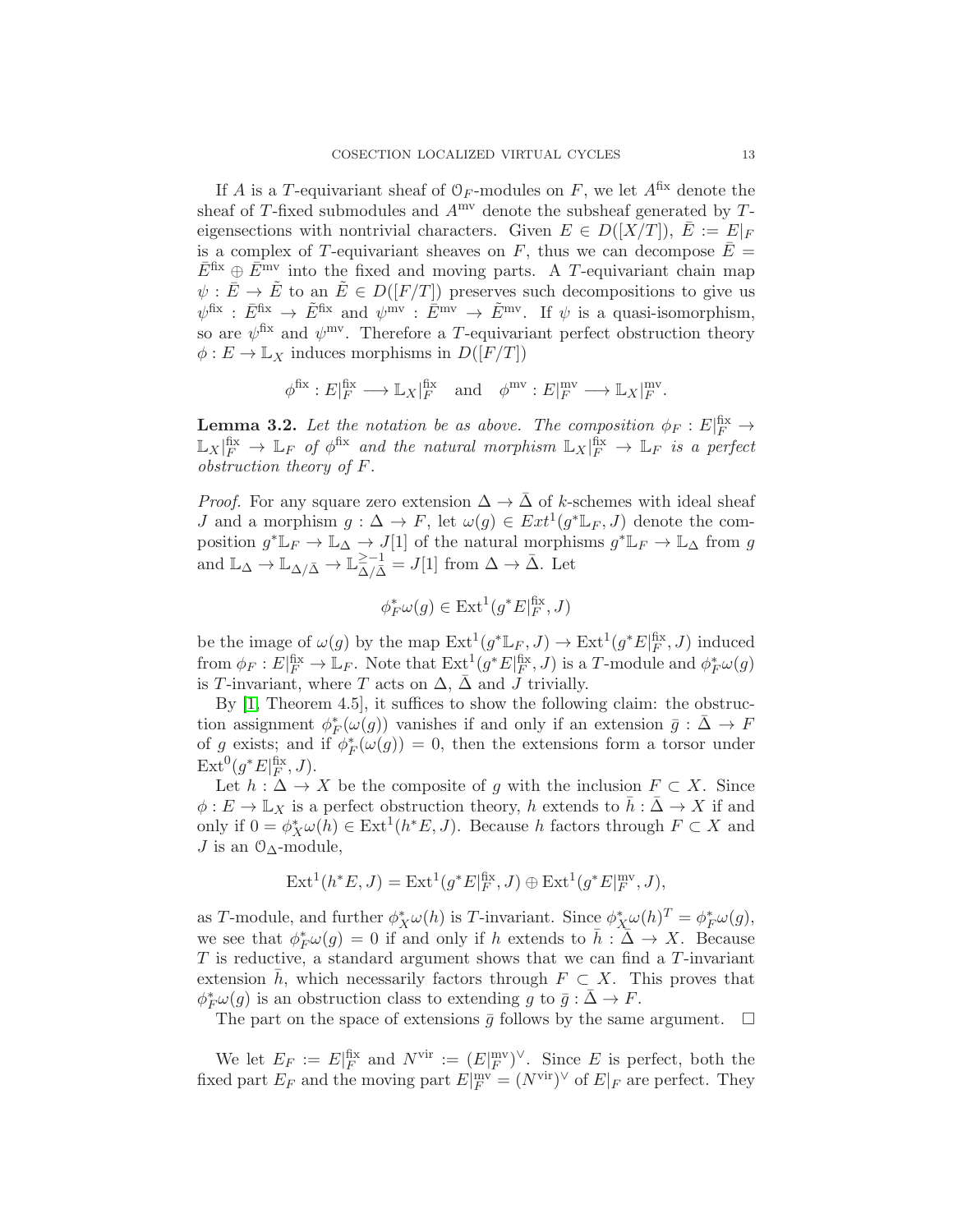If A is a T-equivariant sheaf of  $\mathcal{O}_F$ -modules on F, we let  $A^{fix}$  denote the sheaf of T-fixed submodules and  $A^{mv}$  denote the subsheaf generated by Teigensections with nontrivial characters. Given  $E \in D([X/T]), E := E|_F$ is a complex of T-equivariant sheaves on F, thus we can decompose  $E =$  $\bar{E}$ <sup>fix</sup> ⊕  $\bar{E}$ <sup>mv</sup> into the fixed and moving parts. A T-equivariant chain map  $\psi : \bar{E} \to \tilde{E}$  to an  $\tilde{E} \in D(|F/T|)$  preserves such decompositions to give us  $\psi^{\text{fix}} : \bar{E}^{\text{fix}} \to \tilde{E}^{\text{fix}}$  and  $\psi^{\text{mv}} : \bar{E}^{\text{mv}} \to \tilde{E}^{\text{mv}}$ . If  $\psi$  is a quasi-isomorphism, so are  $\psi$ <sup>fix</sup> and  $\psi$ <sup>mv</sup>. Therefore a T-equivariant perfect obstruction theory  $\phi: E \to \mathbb{L}_X$  induces morphisms in  $D([F/T])$ 

$$
\phi^{\text{fix}}: E|_F^{\text{fix}} \longrightarrow \mathbb{L}_X|_F^{\text{fix}} \quad \text{and} \quad \phi^{\text{mv}}: E|_F^{\text{mv}} \longrightarrow \mathbb{L}_X|_F^{\text{mv}}.
$$

**Lemma 3.2.** Let the notation be as above. The composition  $\phi_F : E|_F^{\text{fix}} \to$  $\mathbb{L}_X|_F^{\text{fix}} \to \mathbb{L}_F$  of  $\phi^{\text{fix}}$  and the natural morphism  $\mathbb{L}_X|_F^{\text{fix}} \to \mathbb{L}_F$  is a perfect obstruction theory of F.

*Proof.* For any square zero extension  $\Delta \to \Delta$  of k-schemes with ideal sheaf *J* and a morphism  $g: \Delta \to F$ , let  $\omega(g) \in Ext^1(g^*{\mathbb L}_F, J)$  denote the composition  $g^* \mathbb{L}_F \to \mathbb{L}_{\Delta} \to J[1]$  of the natural morphisms  $g^* \mathbb{L}_F \to \mathbb{L}_{\Delta}$  from g and  $\mathbb{L}_{\Delta} \to \mathbb{L}_{\Delta/\bar{\Delta}} \to \mathbb{L}_{\Delta/\bar{\Delta}}^{\geq -1} = J[1]$  from  $\Delta \to \bar{\Delta}$ . Let

$$
\phi_F^*\omega(g) \in \text{Ext}^1(g^*E|_F^{\text{fix}}, J)
$$

be the image of  $\omega(g)$  by the map  $\mathrm{Ext}^1(g^*\mathbb{L}_F, J) \to \mathrm{Ext}^1(g^*E|_F^{\mathrm{fix}}, J)$  induced from  $\phi_F: E|_F^{\text{fix}} \to \mathbb{L}_F$ . Note that  $\mathrm{Ext}^1(g^*E|_F^{\text{fix}}, J)$  is a T-module and  $\phi_F^*\omega(g)$ is T-invariant, where T acts on  $\Delta$ ,  $\bar{\Delta}$  and J trivially.

By [\[1,](#page-16-0) Theorem 4.5], it suffices to show the following claim: the obstruction assignment  $\phi_F^*(\omega(g))$  vanishes if and only if an extension  $\bar{g} : \bar{\Delta} \to F$ of g exists; and if  $\phi_F^*(\omega(g)) = 0$ , then the extensions form a torsor under  $\operatorname{Ext}^0(g^*E|_F^{\text{fix}},J).$ 

Let  $h : \Delta \to X$  be the composite of g with the inclusion  $F \subset X$ . Since  $\phi: E \to \mathbb{L}_X$  is a perfect obstruction theory, h extends to  $\bar{h}: \bar{\Delta} \to X$  if and only if  $0 = \phi_X^* \omega(h) \in \text{Ext}^1(h^*E, J)$ . Because h factors through  $F \subset X$  and J is an  $\mathcal{O}_{\Delta}$ -module,

$$
\operatorname{Ext}^1(h^*E, J) = \operatorname{Ext}^1(g^*E|_F^{\text{fix}}, J) \oplus \operatorname{Ext}^1(g^*E|_F^{\text{mv}}, J),
$$

as T-module, and further  $\phi_X^*\omega(h)$  is T-invariant. Since  $\phi_X^*\omega(h)^T = \phi_F^*\omega(g)$ , we see that  $\phi_F^*\omega(g) = 0$  if and only if h extends to  $\bar{h} : \bar{\Delta} \to X$ . Because T is reductive, a standard argument shows that we can find a T-invariant extension h, which necessarily factors through  $F \subset X$ . This proves that  $\phi_F^*\omega(g)$  is an obstruction class to extending g to  $\bar{g} : \bar{\Delta} \to F$ .

The part on the space of extensions  $\bar{g}$  follows by the same argument.  $\Box$ 

We let  $E_F := E|_F^{\text{fix}}$  and  $N^{\text{vir}} := (E|_F^{\text{inv}})^{\vee}$ . Since E is perfect, both the fixed part  $E_F$  and the moving part  $E|_F^{\text{inv}} = (N^{\text{vir}})^{\vee}$  of  $E|_F$  are perfect. They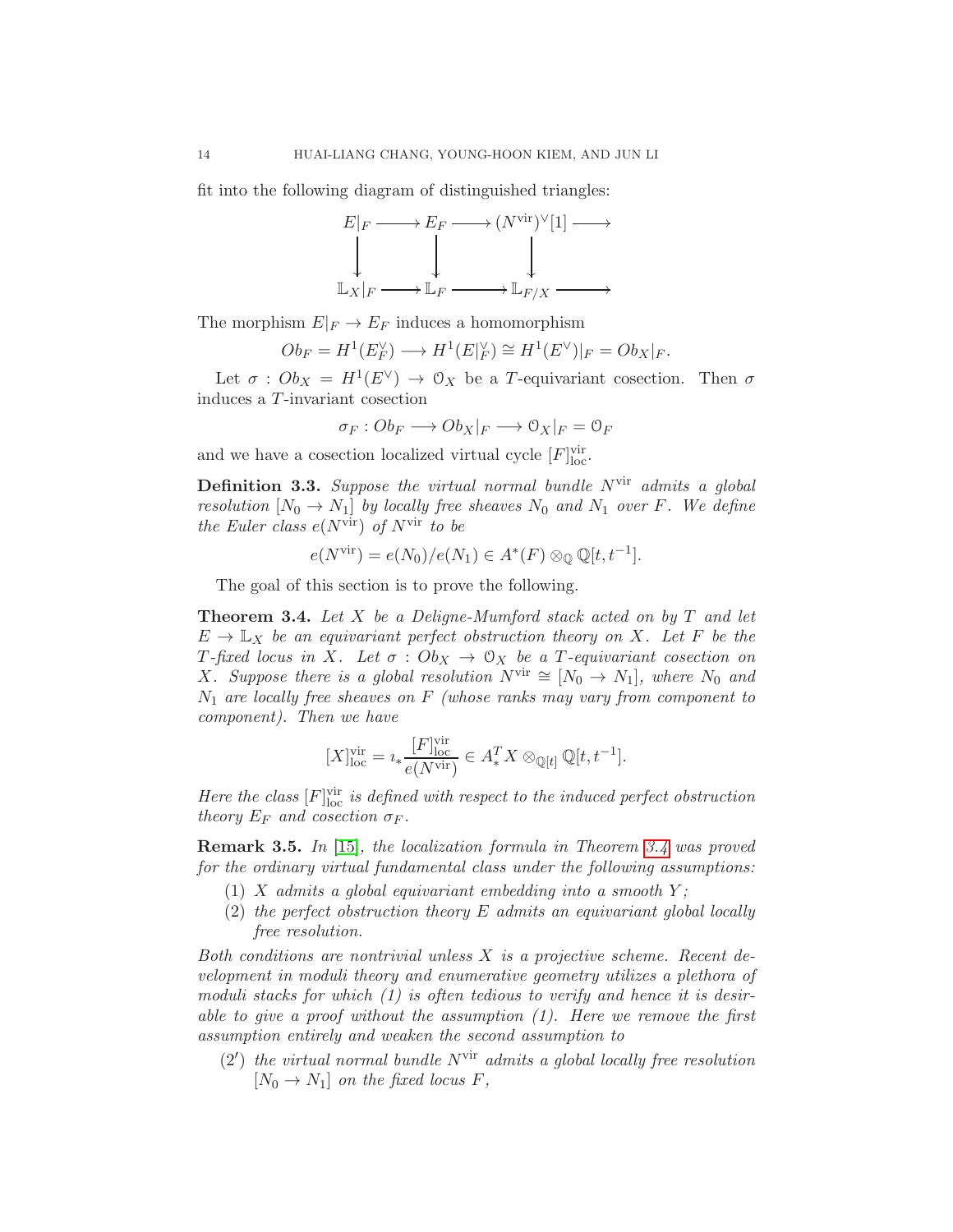fit into the following diagram of distinguished triangles:



The morphism  $E|_F \to E_F$  induces a homomorphism

$$
Ob_F = H^1(E_F^{\vee}) \longrightarrow H^1(E|_F^{\vee}) \cong H^1(E^{\vee})|_F = Ob_X|_F.
$$

Let  $\sigma$  :  $Ob_X = H^1(E^{\vee}) \rightarrow \mathcal{O}_X$  be a T-equivariant cosection. Then  $\sigma$ induces a T-invariant cosection

$$
\sigma_F:Ob_F\longrightarrow Ob_X|_F\longrightarrow \mathcal{O}_X|_F=\mathcal{O}_F
$$

and we have a cosection localized virtual cycle  $[F]_{loc}^{vir}$ .

**Definition 3.3.** Suppose the virtual normal bundle  $N^{\text{vir}}$  admits a global resolution  $[N_0 \to N_1]$  by locally free sheaves  $N_0$  and  $N_1$  over F. We define the Euler class  $e(N^{\text{vir}})$  of  $N^{\text{vir}}$  to be

$$
e(N^{\text{vir}}) = e(N_0)/e(N_1) \in A^*(F) \otimes_{\mathbb{Q}} \mathbb{Q}[t, t^{-1}].
$$

The goal of this section is to prove the following.

<span id="page-13-0"></span>**Theorem 3.4.** Let  $X$  be a Deligne-Mumford stack acted on by  $T$  and let  $E \to \mathbb{L}_X$  be an equivariant perfect obstruction theory on X. Let F be the T-fixed locus in X. Let  $\sigma : Ob_X \to \mathcal{O}_X$  be a T-equivariant cosection on X. Suppose there is a global resolution  $N^{\text{vir}} \cong [N_0 \to N_1]$ , where  $N_0$  and  $N_1$  are locally free sheaves on F (whose ranks may vary from component to component). Then we have

$$
[X]_{\text{loc}}^{\text{vir}} = i_* \frac{[F]_{\text{loc}}^{\text{vir}}}{e(N^{\text{vir}})} \in A_*^T X \otimes_{\mathbb{Q}[t]} \mathbb{Q}[t, t^{-1}].
$$

Here the class  $[F]_{\text{loc}}^{\text{vir}}$  is defined with respect to the induced perfect obstruction theory  $E_F$  and cosection  $\sigma_F$ .

Remark 3.5. In [\[15\]](#page-17-1), the localization formula in Theorem [3.4](#page-13-0) was proved for the ordinary virtual fundamental class under the following assumptions:

- (1) X admits a global equivariant embedding into a smooth  $Y$ ;
- (2) the perfect obstruction theory E admits an equivariant global locally free resolution.

Both conditions are nontrivial unless X is a projective scheme. Recent development in moduli theory and enumerative geometry utilizes a plethora of moduli stacks for which  $(1)$  is often tedious to verify and hence it is desirable to give a proof without the assumption  $(1)$ . Here we remove the first assumption entirely and weaken the second assumption to

 $(2')$  the virtual normal bundle  $N^{\text{vir}}$  admits a global locally free resolution  $[N_0 \to N_1]$  on the fixed locus F,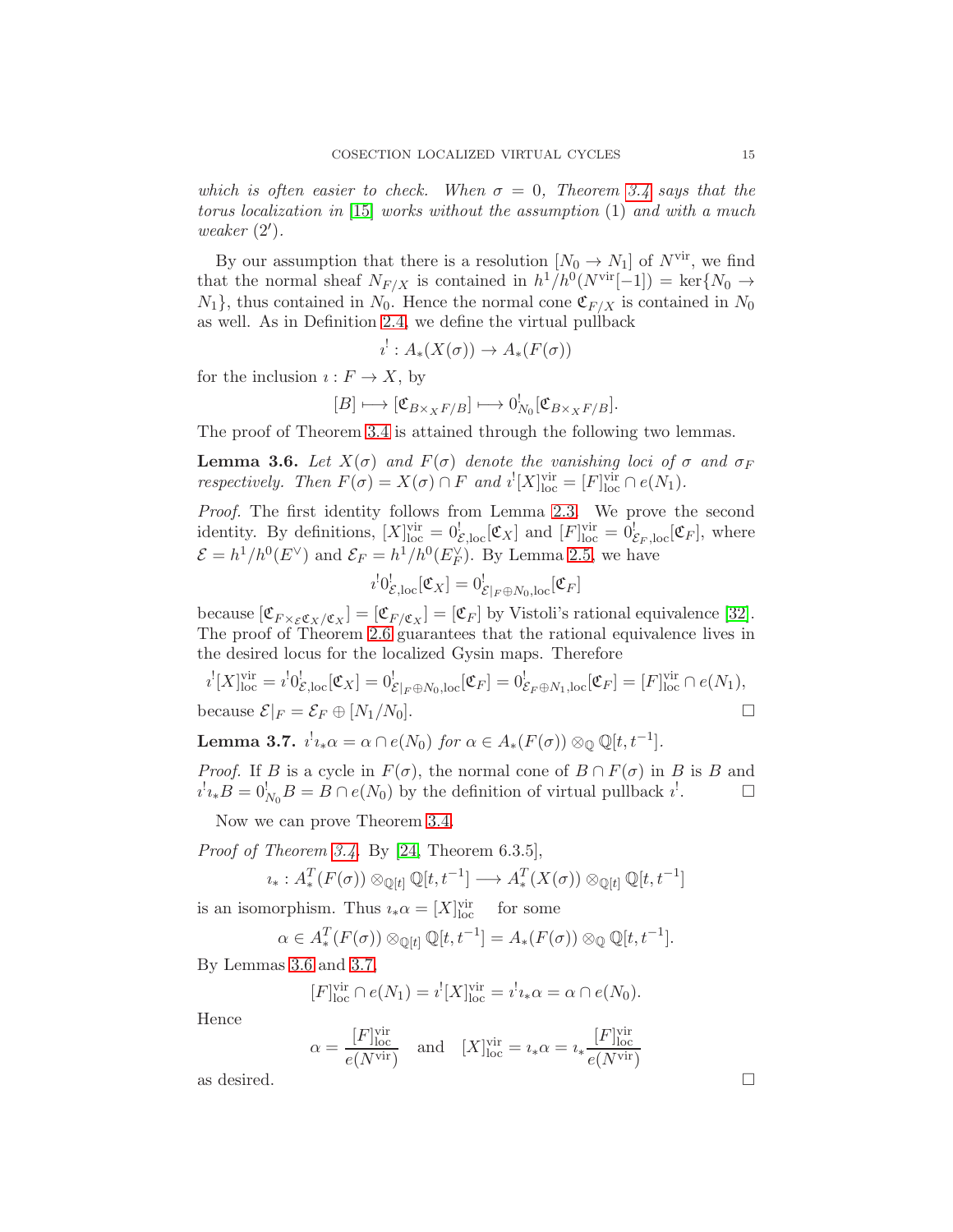which is often easier to check. When  $\sigma = 0$ , Theorem [3.4](#page-13-0) says that the torus localization in [\[15\]](#page-17-1) works without the assumption (1) and with a much weaker (2′ ).

By our assumption that there is a resolution  $[N_0 \to N_1]$  of  $N^{\text{vir}}$ , we find that the normal sheaf  $N_{F/X}$  is contained in  $h^1/h^0(N^{\text{vir}}[-1]) = \text{ker}\{N_0 \to$  $N_1$ , thus contained in  $N_0$ . Hence the normal cone  $\mathfrak{C}_{F/X}$  is contained in  $N_0$ as well. As in Definition [2.4,](#page-3-1) we define the virtual pullback

$$
i^!: A_*(X(\sigma)) \to A_*(F(\sigma))
$$

for the inclusion  $\imath : F \to X$ , by

$$
[B] \longmapsto [\mathfrak{C}_{B \times_X F/B}] \longmapsto 0^!_{N_0} [\mathfrak{C}_{B \times_X F/B}].
$$

The proof of Theorem [3.4](#page-13-0) is attained through the following two lemmas.

<span id="page-14-0"></span>**Lemma 3.6.** Let  $X(\sigma)$  and  $F(\sigma)$  denote the vanishing loci of  $\sigma$  and  $\sigma_F$ respectively. Then  $F(\sigma) = X(\sigma) \cap F$  and  $i^![X]^{\text{vir}}_{\text{loc}} = [F]^{\text{vir}}_{\text{loc}} \cap e(N_1)$ .

Proof. The first identity follows from Lemma [2.3.](#page-3-0) We prove the second identity. By definitions,  $[X]_{\text{loc}}^{\text{vir}} = 0_{\mathcal{E},\text{loc}}^{\text{I}}[\mathfrak{C}_X]$  and  $[F]_{\text{loc}}^{\text{vir}} = 0_{\mathcal{E}_F,\text{loc}}^{\text{I}}[\mathfrak{C}_F]$ , where  $\mathcal{E} = h^1/h^0(E^{\vee})$  and  $\mathcal{E}_F = h^1/h^0(E_F^{\vee})$ . By Lemma [2.5,](#page-4-0) we have

$$
i^!0^!_{\mathcal{E},\mathrm{loc}}[\mathfrak{C}_X]=0^!_{\mathcal{E}|_F\oplus N_0,\mathrm{loc}}[\mathfrak{C}_F]
$$

because  $[\mathfrak{C}_{F \times_{\mathcal{E}} \mathfrak{C}_X/\mathfrak{C}_X}] = [\mathfrak{C}_{F/\mathfrak{C}_X}] = [\mathfrak{C}_F]$  by Vistoli's rational equivalence [\[32\]](#page-17-18). The proof of Theorem [2.6](#page-6-0) guarantees that the rational equivalence lives in the desired locus for the localized Gysin maps. Therefore

$$
i^{!}[X]_{\text{loc}}^{\text{vir}} = i^{!}0^{!}_{\mathcal{E},\text{loc}}[\mathfrak{C}_{X}] = 0^{!}_{\mathcal{E}|_{F} \oplus N_{0},\text{loc}}[\mathfrak{C}_{F}] = 0^{!}_{\mathcal{E}_{F} \oplus N_{1},\text{loc}}[\mathfrak{C}_{F}] = [F]_{\text{loc}}^{\text{vir}} \cap e(N_{1}),
$$
  
because  $\mathcal{E}|_{F} = \mathcal{E}_{F} \oplus [N_{1}/N_{0}].$ 

<span id="page-14-1"></span>**Lemma 3.7.**  $i^!i_*\alpha = \alpha \cap e(N_0)$  for  $\alpha \in A_*(F(\sigma)) \otimes_{\mathbb{Q}} \mathbb{Q}[t, t^{-1}].$ 

*Proof.* If B is a cycle in  $F(\sigma)$ , the normal cone of  $B \cap F(\sigma)$  in B is B and  $i^{\dagger}i_{*}B = 0^{\dagger}_{N_{0}}B = B \cap e(N_{0})$  by the definition of virtual pullback  $i^{\dagger}$  $\Box$ 

Now we can prove Theorem [3.4.](#page-13-0)

Proof of Theorem [3.4.](#page-13-0) By [\[24,](#page-17-20) Theorem 6.3.5],

$$
\iota_*: A_*^T(F(\sigma)) \otimes_{\mathbb{Q}[t]} \mathbb{Q}[t, t^{-1}] \longrightarrow A_*^T(X(\sigma)) \otimes_{\mathbb{Q}[t]} \mathbb{Q}[t, t^{-1}]
$$

is an isomorphism. Thus  $i_*\alpha = [X]_{loc}^{vir}$ for some

$$
\alpha \in A_*^T(F(\sigma)) \otimes_{\mathbb{Q}[t]} \mathbb{Q}[t, t^{-1}] = A_*(F(\sigma)) \otimes_{\mathbb{Q}} \mathbb{Q}[t, t^{-1}].
$$

By Lemmas [3.6](#page-14-0) and [3.7,](#page-14-1)

$$
[F]_{\text{loc}}^{\text{vir}} \cap e(N_1) = i^![X]_{\text{loc}}^{\text{vir}} = i^! i_* \alpha = \alpha \cap e(N_0).
$$

Hence

$$
\alpha = \frac{[F]_{\text{loc}}^{\text{vir}}}{e(N^{\text{vir}})}
$$
 and  $[X]_{\text{loc}}^{\text{vir}} = i_*\alpha = i_*\frac{[F]_{\text{loc}}^{\text{vir}}}{e(N^{\text{vir}})}$   
as desired.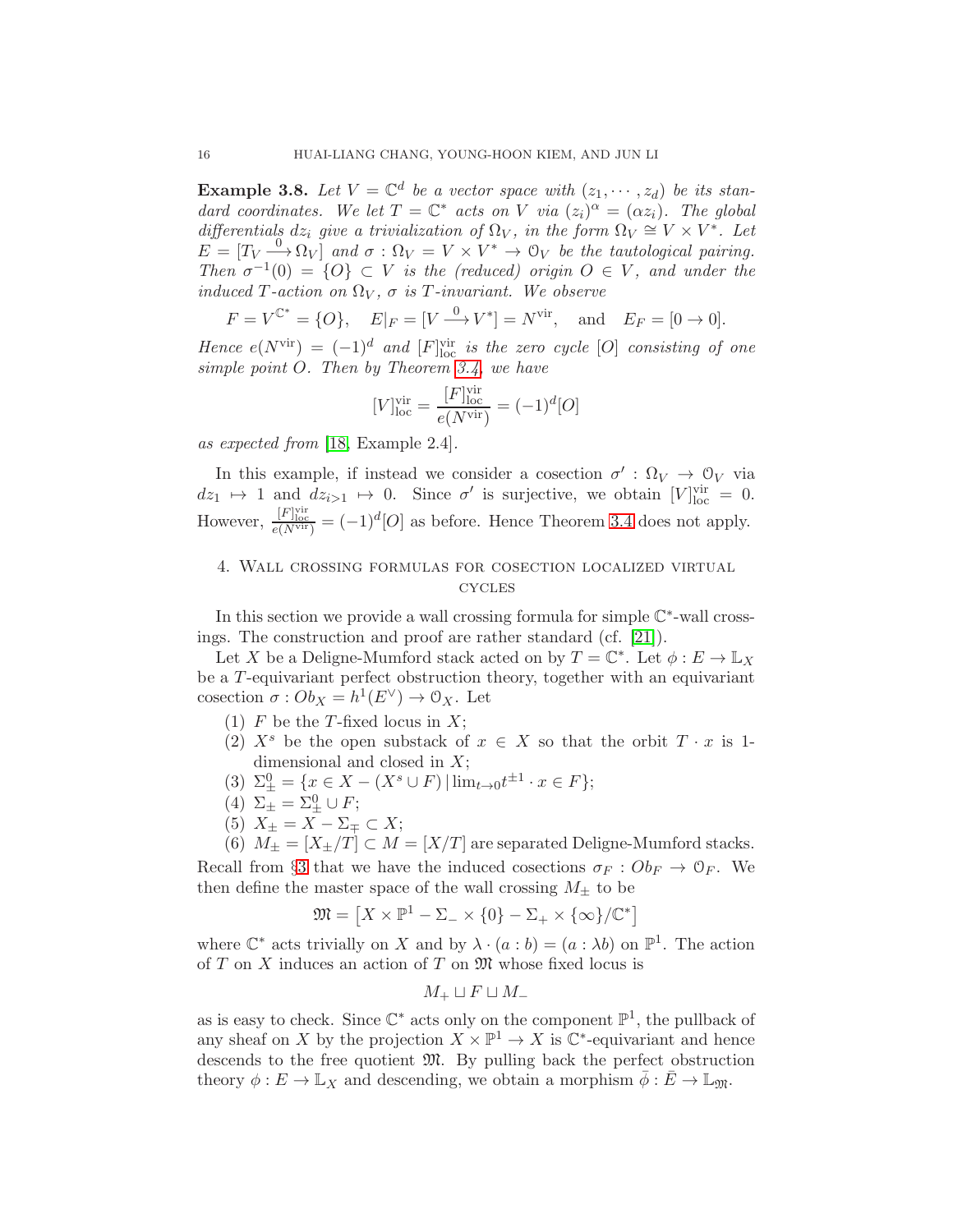**Example 3.8.** Let  $V = \mathbb{C}^d$  be a vector space with  $(z_1, \dots, z_d)$  be its standard coordinates. We let  $T = \mathbb{C}^*$  acts on V via  $(z_i)^{\alpha} = (\alpha z_i)$ . The global differentials  $dz_i$  give a trivialization of  $\Omega_V$ , in the form  $\Omega_V \cong V \times V^*$ . Let  $E = [T_V \stackrel{0}{\longrightarrow} \Omega_V]$  and  $\sigma : \Omega_V = V \times V^* \to \mathcal{O}_V$  be the tautological pairing. Then  $\sigma^{-1}(0) = \{O\} \subset V$  is the (reduced) origin  $O \in V$ , and under the induced T-action on  $\Omega_V$ ,  $\sigma$  is T-invariant. We observe

$$
F = V^{C^*} = \{O\},
$$
  $E|_F = [V \xrightarrow{0} V^*] = N^{\text{vir}},$  and  $E_F = [0 \to 0].$ 

Hence  $e(N^{\text{vir}}) = (-1)^d$  and  $[F]_{\text{loc}}^{\text{vir}}$  is the zero cycle  $[O]$  consisting of one simple point O. Then by Theorem [3.4,](#page-13-0) we have

$$
[V]^{\text{vir}} _{\text{loc}} = \frac{[F]^{\text{vir}} _{\text{loc}} }{e(N^{\text{vir}} )} = (-1)^d [O]
$$

as expected from [\[18,](#page-17-4) Example 2.4].

In this example, if instead we consider a cosection  $\sigma' : \Omega_V \to \mathcal{O}_V$  via  $dz_1 \mapsto 1$  and  $dz_{i>1} \mapsto 0$ . Since  $\sigma'$  is surjective, we obtain  $[V]_{loc}^{vir} = 0$ . However,  $\frac{[F]_{\text{loc}}^{\text{vir}}}{e(N^{\text{vir}})} = (-1)^d [O]$  as before. Hence Theorem [3.4](#page-13-0) does not apply.

## <span id="page-15-0"></span>4. Wall crossing formulas for cosection localized virtual **CYCLES**

In this section we provide a wall crossing formula for simple  $\mathbb{C}^*$ -wall crossings. The construction and proof are rather standard (cf. [\[21\]](#page-17-5)).

Let X be a Deligne-Mumford stack acted on by  $T = \mathbb{C}^*$ . Let  $\phi : E \to \mathbb{L}_X$ be a T-equivariant perfect obstruction theory, together with an equivariant cosection  $\sigma : Ob_X = h^1(E^{\vee}) \to \mathcal{O}_X$ . Let

- (1)  $F$  be the T-fixed locus in  $X$ ;
- (2)  $X^s$  be the open substack of  $x \in X$  so that the orbit  $T \cdot x$  is 1dimensional and closed in X;
- (3)  $\Sigma_{\pm}^0 = \{ x \in X (X^s \cup F) \mid \lim_{t \to 0} t^{\pm 1} \cdot x \in F \};$
- (4)  $\Sigma_{\pm} = \Sigma_{\pm}^0 \cup F;$
- (5)  $X_{\pm} = X \Sigma_{\mp} \subset X;$

(6)  $M_{\pm} = [X_{\pm}/T] \subset M = [X/T]$  are separated Deligne-Mumford stacks. Recall from §[3](#page-11-0) that we have the induced cosections  $\sigma_F : Ob_F \to \mathcal{O}_F$ . We then define the master space of the wall crossing  $M_{\pm}$  to be

$$
\mathfrak{M} = \left[ X \times \mathbb{P}^1 - \Sigma_- \times \{0\} - \Sigma_+ \times \{\infty\} / \mathbb{C}^* \right]
$$

where  $\mathbb{C}^*$  acts trivially on X and by  $\lambda \cdot (a:b) = (a:\lambda b)$  on  $\mathbb{P}^1$ . The action of  $T$  on  $X$  induces an action of  $T$  on  $\mathfrak{M}$  whose fixed locus is

$$
M_+ \sqcup F \sqcup M_-
$$

as is easy to check. Since  $\mathbb{C}^*$  acts only on the component  $\mathbb{P}^1$ , the pullback of any sheaf on X by the projection  $X \times \mathbb{P}^1 \to X$  is  $\mathbb{C}^*$ -equivariant and hence descends to the free quotient M. By pulling back the perfect obstruction theory  $\phi: E \to \mathbb{L}_X$  and descending, we obtain a morphism  $\phi: E \to \mathbb{L}_{\mathfrak{M}}$ .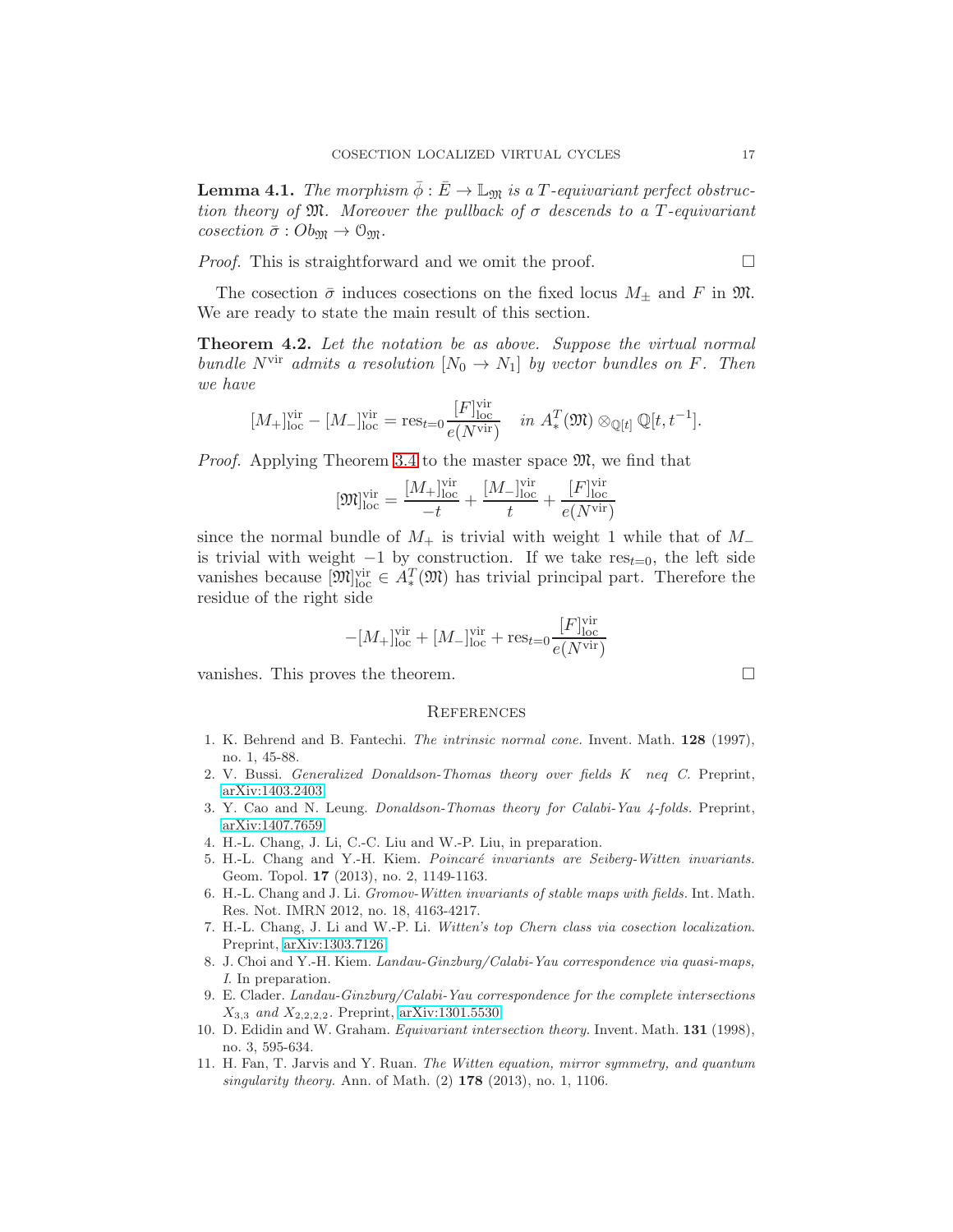**Lemma 4.1.** The morphism  $\bar{\phi} : \bar{E} \to \mathbb{L}_{\mathfrak{M}}$  is a T-equivariant perfect obstruction theory of  $\mathfrak{M}$ . Moreover the pullback of  $\sigma$  descends to a T-equivariant cosection  $\bar{\sigma}$  :  $Ob_{\mathfrak{M}} \to \mathfrak{O}_{\mathfrak{M}}$ .

*Proof.* This is straightforward and we omit the proof.  $\Box$ 

The cosection  $\bar{\sigma}$  induces cosections on the fixed locus  $M_{\pm}$  and F in  $\mathfrak{M}$ . We are ready to state the main result of this section.

Theorem 4.2. Let the notation be as above. Suppose the virtual normal bundle N<sup>vir</sup> admits a resolution  $[N_0 \to N_1]$  by vector bundles on F. Then we have

$$
[M_{+}]_{\text{loc}}^{\text{vir}} - [M_{-}]_{\text{loc}}^{\text{vir}} = \text{res}_{t=0} \frac{[F]_{\text{loc}}^{\text{vir}}}{e(N^{\text{vir}})} \quad in \ A_{*}^{T}(\mathfrak{M}) \otimes_{\mathbb{Q}[t]} \mathbb{Q}[t, t^{-1}].
$$

*Proof.* Applying Theorem [3.4](#page-13-0) to the master space  $\mathfrak{M}$ , we find that

$$
[\mathfrak{M}]^\mathrm{vir}_{\mathrm{loc}} = \frac{[M_+]^\mathrm{vir}_{\mathrm{loc}}}{-t} + \frac{[M_-]^\mathrm{vir}_{\mathrm{loc}}}{t} + \frac{[F]^\mathrm{vir}_{\mathrm{loc}}}{e(N^\mathrm{vir})}
$$

since the normal bundle of  $M_+$  is trivial with weight 1 while that of  $M_$ is trivial with weight  $-1$  by construction. If we take  $res_{t=0}$ , the left side vanishes because  $[\mathfrak{M}]_{\text{loc}}^{\text{vir}} \in A_*^T(\mathfrak{M})$  has trivial principal part. Therefore the residue of the right side

$$
-[M_+]^{\mathrm{vir}} _{\mathrm{loc}}+[M_-]^{\mathrm{vir}} _{\mathrm{loc}} +\mathrm{res}_{t=0} \frac{[F]^{\mathrm{vir}} _{\mathrm{loc}} }{e(N^{\mathrm{vir}} )}
$$

vanishes. This proves the theorem.  $\Box$ 

#### **REFERENCES**

- <span id="page-16-0"></span>1. K. Behrend and B. Fantechi. *The intrinsic normal cone.* Invent. Math. 128 (1997), no. 1, 45-88.
- <span id="page-16-1"></span>2. V. Bussi. *Generalized Donaldson-Thomas theory over fields K* neq *C.* Preprint, [arXiv:1403.2403.](http://arxiv.org/abs/1403.2403)
- <span id="page-16-6"></span>3. Y. Cao and N. Leung. *Donaldson-Thomas theory for Calabi-Yau 4-folds.* Preprint, [arXiv:1407.7659.](http://arxiv.org/abs/1407.7659)
- <span id="page-16-2"></span>4. H.-L. Chang, J. Li, C.-C. Liu and W.-P. Liu, in preparation.
- 5. H.-L. Chang and Y.-H. Kiem. *Poincar´e invariants are Seiberg-Witten invariants.* Geom. Topol. 17 (2013), no. 2, 1149-1163.
- 6. H.-L. Chang and J. Li. *Gromov-Witten invariants of stable maps with fields.* Int. Math. Res. Not. IMRN 2012, no. 18, 4163-4217.
- <span id="page-16-3"></span>7. H.-L. Chang, J. Li and W.-P. Li. *Witten's top Chern class via cosection localization*. Preprint, [arXiv:1303.7126.](http://arxiv.org/abs/1303.7126)
- <span id="page-16-5"></span>8. J. Choi and Y.-H. Kiem. *Landau-Ginzburg/Calabi-Yau correspondence via quasi-maps, I*. In preparation.
- <span id="page-16-4"></span>9. E. Clader. *Landau-Ginzburg/Calabi-Yau correspondence for the complete intersections* X<sup>3</sup>,<sup>3</sup> *and* X<sup>2</sup>,2,2,<sup>2</sup>*.* Preprint, [arXiv:1301.5530](http://arxiv.org/abs/1301.5530)
- 10. D. Edidin and W. Graham. *Equivariant intersection theory.* Invent. Math. 131 (1998), no. 3, 595-634.
- 11. H. Fan, T. Jarvis and Y. Ruan. *The Witten equation, mirror symmetry, and quantum singularity theory.* Ann. of Math. (2) 178 (2013), no. 1, 1106.